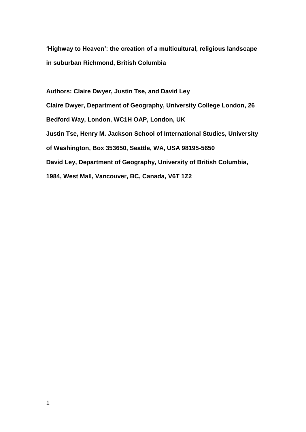**'Highway to Heaven': the creation of a multicultural, religious landscape in suburban Richmond, British Columbia** 

**Authors: Claire Dwyer, Justin Tse, and David Ley Claire Dwyer, Department of Geography, University College London, 26 Bedford Way, London, WC1H OAP, London, UK Justin Tse, Henry M. Jackson School of International Studies, University of Washington, Box 353650, Seattle, WA, USA 98195-5650 David Ley, Department of Geography, University of British Columbia, 1984, West Mall, Vancouver, BC, Canada, V6T 1Z2**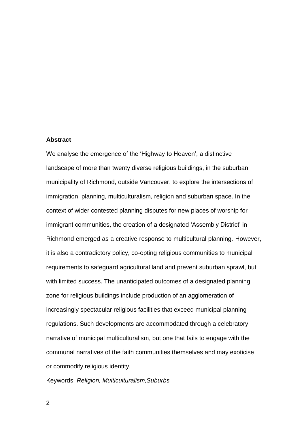# **Abstract**

We analyse the emergence of the 'Highway to Heaven', a distinctive landscape of more than twenty diverse religious buildings, in the suburban municipality of Richmond, outside Vancouver, to explore the intersections of immigration, planning, multiculturalism, religion and suburban space. In the context of wider contested planning disputes for new places of worship for immigrant communities, the creation of a designated 'Assembly District' in Richmond emerged as a creative response to multicultural planning. However, it is also a contradictory policy, co-opting religious communities to municipal requirements to safeguard agricultural land and prevent suburban sprawl, but with limited success. The unanticipated outcomes of a designated planning zone for religious buildings include production of an agglomeration of increasingly spectacular religious facilities that exceed municipal planning regulations. Such developments are accommodated through a celebratory narrative of municipal multiculturalism, but one that fails to engage with the communal narratives of the faith communities themselves and may exoticise or commodify religious identity.

Keywords: *Religion, Multiculturalism,Suburbs*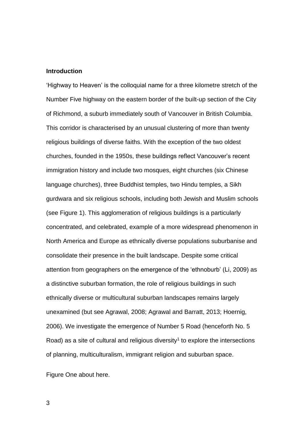# **Introduction**

'Highway to Heaven' is the colloquial name for a three kilometre stretch of the Number Five highway on the eastern border of the built-up section of the City of Richmond, a suburb immediately south of Vancouver in British Columbia. This corridor is characterised by an unusual clustering of more than twenty religious buildings of diverse faiths. With the exception of the two oldest churches, founded in the 1950s, these buildings reflect Vancouver's recent immigration history and include two mosques, eight churches (six Chinese language churches), three Buddhist temples, two Hindu temples, a Sikh gurdwara and six religious schools, including both Jewish and Muslim schools (see Figure 1). This agglomeration of religious buildings is a particularly concentrated, and celebrated, example of a more widespread phenomenon in North America and Europe as ethnically diverse populations suburbanise and consolidate their presence in the built landscape. Despite some critical attention from geographers on the emergence of the 'ethnoburb' (Li, 2009) as a distinctive suburban formation, the role of religious buildings in such ethnically diverse or multicultural suburban landscapes remains largely unexamined (but see Agrawal, 2008; Agrawal and Barratt, 2013; Hoernig, 2006). We investigate the emergence of Number 5 Road (henceforth No. 5 Road) as a site of cultural and religious diversity<sup>1</sup> to explore the intersections of planning, multiculturalism, immigrant religion and suburban space.

Figure One about here.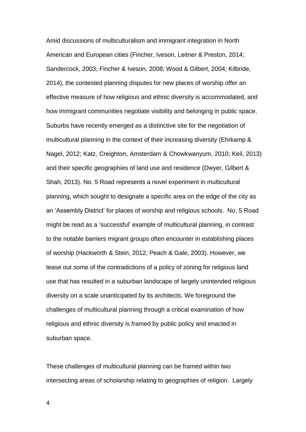Amid discussions of multiculturalism and immigrant integration in North American and European cities (Fincher, Iveson, Leitner & Preston, 2014; Sandercock, 2003; Fincher & Iveson, 2008; Wood & Gilbert, 2004; Kilbride, 2014), the contested planning disputes for new places of worship offer an effective measure of how religious and ethnic diversity is accommodated, and how immigrant communities negotiate visibility and belonging in public space. Suburbs have recently emerged as a distinctive site for the negotiation of multicultural planning in the context of their increasing diversity (Ehrkamp & Nagel, 2012; Katz, Creighton, Amsterdam & Chowkwanyum, 2010; Keil, 2013) and their specific geographies of land use and residence (Dwyer, Gilbert & Shah, 2013). No. 5 Road represents a novel experiment in multicultural planning, which sought to designate a specific area on the edge of the city as an 'Assembly District' for places of worship and religious schools. No. 5 Road might be read as a 'successful' example of multicultural planning, in contrast to the notable barriers migrant groups often encounter in establishing places of worship (Hackworth & Stein, 2012; Peach & Gale, 2003). However, we tease out some of the contradictions of a policy of zoning for religious land use that has resulted in a suburban landscape of largely unintended religious diversity on a scale unanticipated by its architects. We foreground the challenges of multicultural planning through a critical examination of how religious and ethnic diversity is framed by public policy and enacted in suburban space.

These challenges of multicultural planning can be framed within two intersecting areas of scholarship relating to geographies of religion. Largely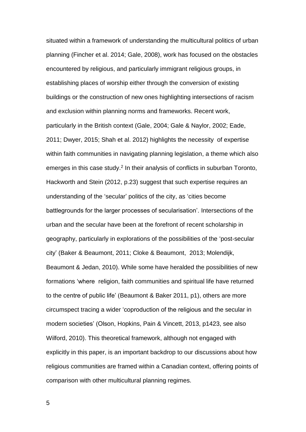situated within a framework of understanding the multicultural politics of urban planning (Fincher et al. 2014; Gale, 2008), work has focused on the obstacles encountered by religious, and particularly immigrant religious groups, in establishing places of worship either through the conversion of existing buildings or the construction of new ones highlighting intersections of racism and exclusion within planning norms and frameworks. Recent work, particularly in the British context (Gale, 2004; Gale & Naylor, 2002; Eade, 2011; Dwyer, 2015; Shah et al. 2012) highlights the necessity of expertise within faith communities in navigating planning legislation, a theme which also emerges in this case study.<sup>2</sup> In their analysis of conflicts in suburban Toronto, Hackworth and Stein (2012, p.23) suggest that such expertise requires an understanding of the 'secular' politics of the city, as 'cities become battlegrounds for the larger processes of secularisation'. Intersections of the urban and the secular have been at the forefront of recent scholarship in geography, particularly in explorations of the possibilities of the 'post-secular city' (Baker & Beaumont, 2011; Cloke & Beaumont, 2013; Molendijk, Beaumont & Jedan, 2010). While some have heralded the possibilities of new formations 'where religion, faith communities and spiritual life have returned to the centre of public life' (Beaumont & Baker 2011, p1), others are more circumspect tracing a wider 'coproduction of the religious and the secular in modern societies' (Olson, Hopkins, Pain & Vincett, 2013, p1423, see also Wilford, 2010). This theoretical framework, although not engaged with explicitly in this paper, is an important backdrop to our discussions about how religious communities are framed within a Canadian context, offering points of comparison with other multicultural planning regimes.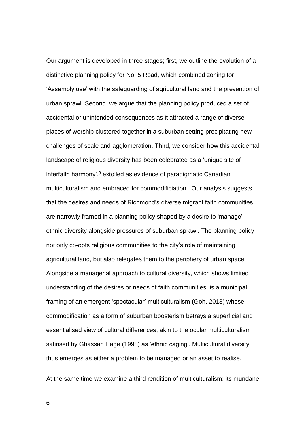Our argument is developed in three stages; first, we outline the evolution of a distinctive planning policy for No. 5 Road, which combined zoning for 'Assembly use' with the safeguarding of agricultural land and the prevention of urban sprawl. Second, we argue that the planning policy produced a set of accidental or unintended consequences as it attracted a range of diverse places of worship clustered together in a suburban setting precipitating new challenges of scale and agglomeration. Third, we consider how this accidental landscape of religious diversity has been celebrated as a 'unique site of interfaith harmony', <sup>3</sup> extolled as evidence of paradigmatic Canadian multiculturalism and embraced for commodificiation. Our analysis suggests that the desires and needs of Richmond's diverse migrant faith communities are narrowly framed in a planning policy shaped by a desire to 'manage' ethnic diversity alongside pressures of suburban sprawl. The planning policy not only co-opts religious communities to the city's role of maintaining agricultural land, but also relegates them to the periphery of urban space. Alongside a managerial approach to cultural diversity, which shows limited understanding of the desires or needs of faith communities, is a municipal framing of an emergent 'spectacular' multiculturalism (Goh, 2013) whose commodification as a form of suburban boosterism betrays a superficial and essentialised view of cultural differences, akin to the ocular multiculturalism satirised by Ghassan Hage (1998) as 'ethnic caging'. Multicultural diversity thus emerges as either a problem to be managed or an asset to realise.

At the same time we examine a third rendition of multiculturalism: its mundane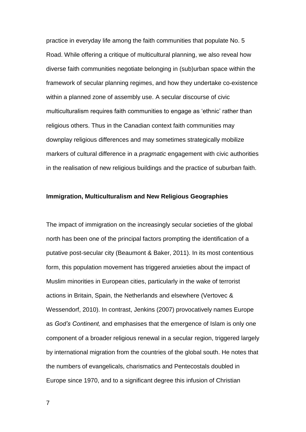practice in everyday life among the faith communities that populate No. 5 Road. While offering a critique of multicultural planning, we also reveal how diverse faith communities negotiate belonging in (sub)urban space within the framework of secular planning regimes, and how they undertake co-existence within a planned zone of assembly use. A secular discourse of civic multiculturalism requires faith communities to engage as 'ethnic' rather than religious others. Thus in the Canadian context faith communities may downplay religious differences and may sometimes strategically mobilize markers of cultural difference in a *pragmatic* engagement with civic authorities in the realisation of new religious buildings and the practice of suburban faith.

# **Immigration, Multiculturalism and New Religious Geographies**

The impact of immigration on the increasingly secular societies of the global north has been one of the principal factors prompting the identification of a putative post-secular city (Beaumont & Baker, 2011). In its most contentious form, this population movement has triggered anxieties about the impact of Muslim minorities in European cities, particularly in the wake of terrorist actions in Britain, Spain, the Netherlands and elsewhere (Vertovec & Wessendorf, 2010). In contrast, Jenkins (2007) provocatively names Europe as *God's Continent,* and emphasises that the emergence of Islam is only one component of a broader religious renewal in a secular region, triggered largely by international migration from the countries of the global south. He notes that the numbers of evangelicals, charismatics and Pentecostals doubled in Europe since 1970, and to a significant degree this infusion of Christian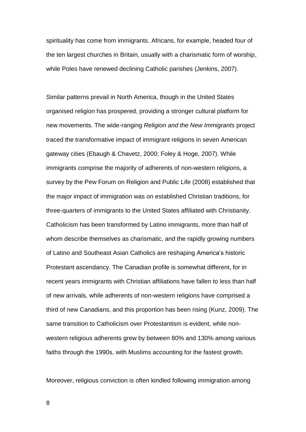spirituality has come from immigrants. Africans, for example, headed four of the ten largest churches in Britain, usually with a charismatic form of worship, while Poles have renewed declining Catholic parishes (Jenkins, 2007).

Similar patterns prevail in North America, though in the United States organised religion has prospered, providing a stronger cultural platform for new movements. The wide-ranging *Religion and the New Immigrants* project traced the transformative impact of immigrant religions in seven American gateway cities (Ebaugh & Chavetz, 2000; Foley & Hoge, 2007). While immigrants comprise the majority of adherents of non-western religions, a survey by the Pew Forum on Religion and Public Life (2008) established that the major impact of immigration was on established Christian traditions, for three-quarters of immigrants to the United States affiliated with Christianity. Catholicism has been transformed by Latino immigrants, more than half of whom describe themselves as charismatic, and the rapidly growing numbers of Latino and Southeast Asian Catholics are reshaping America's historic Protestant ascendancy. The Canadian profile is somewhat different, for in recent years immigrants with Christian affiliations have fallen to less than half of new arrivals, while adherents of non-western religions have comprised a third of new Canadians, and this proportion has been rising (Kunz, 2009). The same transition to Catholicism over Protestantism is evident, while nonwestern religious adherents grew by between 80% and 130% among various faiths through the 1990s, with Muslims accounting for the fastest growth.

Moreover, religious conviction is often kindled following immigration among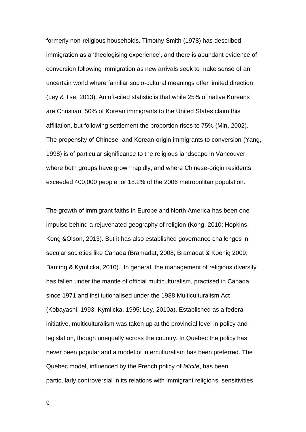formerly non-religious households. Timothy Smith (1978) has described immigration as a 'theologising experience', and there is abundant evidence of conversion following immigration as new arrivals seek to make sense of an uncertain world where familiar socio-cultural meanings offer limited direction (Ley & Tse, 2013). An oft-cited statistic is that while 25% of native Koreans are Christian, 50% of Korean immigrants to the United States claim this affiliation, but following settlement the proportion rises to 75% (Min, 2002). The propensity of Chinese- and Korean-origin immigrants to conversion (Yang, 1998) is of particular significance to the religious landscape in Vancouver, where both groups have grown rapidly, and where Chinese-origin residents exceeded 400,000 people, or 18.2% of the 2006 metropolitan population.

The growth of immigrant faiths in Europe and North America has been one impulse behind a rejuvenated geography of religion (Kong, 2010; Hopkins, Kong &Olson, 2013). But it has also established governance challenges in secular societies like Canada (Bramadat, 2008; Bramadat & Koenig 2009; Banting & Kymlicka, 2010). In general, the management of religious diversity has fallen under the mantle of official multiculturalism, practised in Canada since 1971 and institutionalised under the 1988 Multiculturalism Act (Kobayashi, 1993; Kymlicka, 1995; Ley, 2010a). Established as a federal initiative, multiculturalism was taken up at the provincial level in policy and legislation, though unequally across the country. In Quebec the policy has never been popular and a model of interculturalism has been preferred. The Quebec model, influenced by the French policy of *laïcité*, has been particularly controversial in its relations with immigrant religions, sensitivities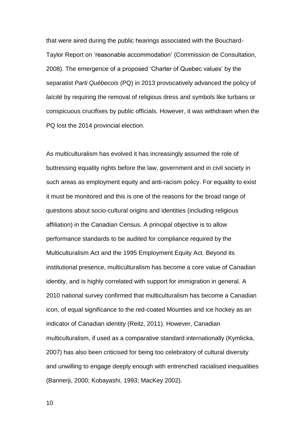that were aired during the public hearings associated with the Bouchard-Taylor Report on 'reasonable accommodation' (Commission de Consultation, 2008). The emergence of a proposed 'Charter of Quebec values' by the separatist *Parti Québecois* (PQ) in 2013 provocatively advanced the policy of *laïcité* by requiring the removal of religious dress and symbols like turbans or conspicuous crucifixes by public officials. However, it was withdrawn when the PQ lost the 2014 provincial election.

As multiculturalism has evolved it has increasingly assumed the role of buttressing equality rights before the law, government and in civil society in such areas as employment equity and anti-racism policy. For equality to exist it must be monitored and this is one of the reasons for the broad range of questions about socio-cultural origins and identities (including religious affiliation) in the Canadian Census. A principal objective is to allow performance standards to be audited for compliance required by the Multiculturalism Act and the 1995 Employment Equity Act. Beyond its institutional presence, multiculturalism has become a core value of Canadian identity, and is highly correlated with support for immigration in general. A 2010 national survey confirmed that multiculturalism has become a Canadian icon, of equal significance to the red-coated Mounties and ice hockey as an indicator of Canadian identity (Reitz, 2011). However, Canadian multiculturalism, if used as a comparative standard internationally (Kymlicka, 2007) has also been criticised for being too celebratory of cultural diversity and unwilling to engage deeply enough with entrenched racialised inequalities (Bannerji, 2000; Kobayashi, 1993; MacKey 2002).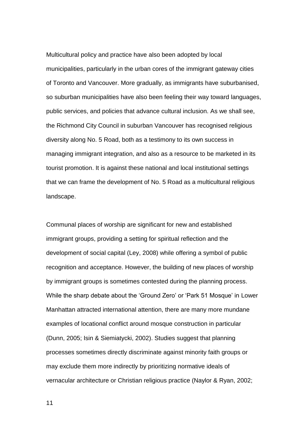Multicultural policy and practice have also been adopted by local municipalities, particularly in the urban cores of the immigrant gateway cities of Toronto and Vancouver. More gradually, as immigrants have suburbanised, so suburban municipalities have also been feeling their way toward languages, public services, and policies that advance cultural inclusion. As we shall see, the Richmond City Council in suburban Vancouver has recognised religious diversity along No. 5 Road, both as a testimony to its own success in managing immigrant integration, and also as a resource to be marketed in its tourist promotion. It is against these national and local institutional settings that we can frame the development of No. 5 Road as a multicultural religious landscape.

Communal places of worship are significant for new and established immigrant groups, providing a setting for spiritual reflection and the development of social capital (Ley, 2008) while offering a symbol of public recognition and acceptance. However, the building of new places of worship by immigrant groups is sometimes contested during the planning process. While the sharp debate about the 'Ground Zero' or 'Park 51 Mosque' in Lower Manhattan attracted international attention, there are many more mundane examples of locational conflict around mosque construction in particular (Dunn, 2005; Isin & Siemiatycki, 2002). Studies suggest that planning processes sometimes directly discriminate against minority faith groups or may exclude them more indirectly by prioritizing normative ideals of vernacular architecture or Christian religious practice (Naylor & Ryan, 2002;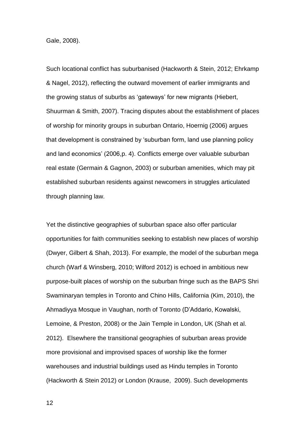Gale, 2008).

Such locational conflict has suburbanised (Hackworth & Stein, 2012; Ehrkamp & Nagel, 2012), reflecting the outward movement of earlier immigrants and the growing status of suburbs as 'gateways' for new migrants (Hiebert, Shuurman & Smith, 2007). Tracing disputes about the establishment of places of worship for minority groups in suburban Ontario, Hoernig (2006) argues that development is constrained by 'suburban form, land use planning policy and land economics' (2006,p. 4). Conflicts emerge over valuable suburban real estate (Germain & Gagnon, 2003) or suburban amenities, which may pit established suburban residents against newcomers in struggles articulated through planning law.

Yet the distinctive geographies of suburban space also offer particular opportunities for faith communities seeking to establish new places of worship (Dwyer, Gilbert & Shah, 2013). For example, the model of the suburban mega church (Warf & Winsberg, 2010; Wilford 2012) is echoed in ambitious new purpose-built places of worship on the suburban fringe such as the BAPS Shri Swaminaryan temples in Toronto and Chino Hills, California (Kim, 2010), the Ahmadiyya Mosque in Vaughan, north of Toronto (D'Addario, Kowalski, Lemoine, & Preston, 2008) or the Jain Temple in London, UK (Shah et al. 2012). Elsewhere the transitional geographies of suburban areas provide more provisional and improvised spaces of worship like the former warehouses and industrial buildings used as Hindu temples in Toronto (Hackworth & Stein 2012) or London (Krause, 2009). Such developments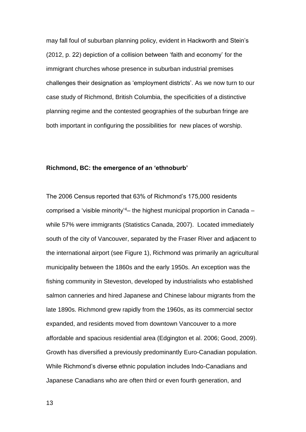may fall foul of suburban planning policy, evident in Hackworth and Stein's (2012, p. 22) depiction of a collision between 'faith and economy' for the immigrant churches whose presence in suburban industrial premises challenges their designation as 'employment districts'. As we now turn to our case study of Richmond, British Columbia, the specificities of a distinctive planning regime and the contested geographies of the suburban fringe are both important in configuring the possibilities for new places of worship.

# **Richmond, BC: the emergence of an 'ethnoburb'**

The 2006 Census reported that 63% of Richmond's 175,000 residents comprised a 'visible minority'<sup>4</sup>– the highest municipal proportion in Canada – while 57% were immigrants (Statistics Canada, 2007). Located immediately south of the city of Vancouver, separated by the Fraser River and adjacent to the international airport (see Figure 1), Richmond was primarily an agricultural municipality between the 1860s and the early 1950s. An exception was the fishing community in Steveston, developed by industrialists who established salmon canneries and hired Japanese and Chinese labour migrants from the late 1890s. Richmond grew rapidly from the 1960s, as its commercial sector expanded, and residents moved from downtown Vancouver to a more affordable and spacious residential area (Edgington et al. 2006; Good, 2009). Growth has diversified a previously predominantly Euro-Canadian population. While Richmond's diverse ethnic population includes Indo-Canadians and Japanese Canadians who are often third or even fourth generation, and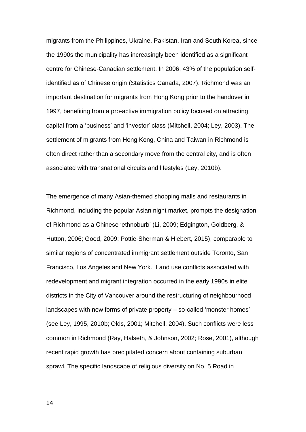migrants from the Philippines, Ukraine, Pakistan, Iran and South Korea, since the 1990s the municipality has increasingly been identified as a significant centre for Chinese-Canadian settlement. In 2006, 43% of the population selfidentified as of Chinese origin (Statistics Canada, 2007). Richmond was an important destination for migrants from Hong Kong prior to the handover in 1997, benefiting from a pro-active immigration policy focused on attracting capital from a 'business' and 'investor' class (Mitchell, 2004; Ley, 2003). The settlement of migrants from Hong Kong, China and Taiwan in Richmond is often direct rather than a secondary move from the central city, and is often associated with transnational circuits and lifestyles (Ley, 2010b).

The emergence of many Asian-themed shopping malls and restaurants in Richmond, including the popular Asian night market, prompts the designation of Richmond as a Chinese 'ethnoburb' (Li, 2009; Edgington, Goldberg, & Hutton, 2006; Good, 2009; Pottie-Sherman & Hiebert, 2015), comparable to similar regions of concentrated immigrant settlement outside Toronto, San Francisco, Los Angeles and New York. Land use conflicts associated with redevelopment and migrant integration occurred in the early 1990s in elite districts in the City of Vancouver around the restructuring of neighbourhood landscapes with new forms of private property – so-called 'monster homes' (see Ley, 1995, 2010b; Olds, 2001; Mitchell, 2004). Such conflicts were less common in Richmond (Ray, Halseth, & Johnson, 2002; Rose, 2001), although recent rapid growth has precipitated concern about containing suburban sprawl. The specific landscape of religious diversity on No. 5 Road in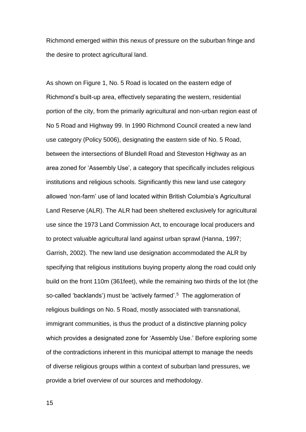Richmond emerged within this nexus of pressure on the suburban fringe and the desire to protect agricultural land.

As shown on Figure 1, No. 5 Road is located on the eastern edge of Richmond's built-up area, effectively separating the western, residential portion of the city, from the primarily agricultural and non-urban region east of No 5 Road and Highway 99. In 1990 Richmond Council created a new land use category (Policy 5006), designating the eastern side of No. 5 Road, between the intersections of Blundell Road and Steveston Highway as an area zoned for 'Assembly Use', a category that specifically includes religious institutions and religious schools. Significantly this new land use category allowed 'non-farm' use of land located within British Columbia's Agricultural Land Reserve (ALR). The ALR had been sheltered exclusively for agricultural use since the 1973 Land Commission Act, to encourage local producers and to protect valuable agricultural land against urban sprawl (Hanna, 1997; Garrish, 2002). The new land use designation accommodated the ALR by specifying that religious institutions buying property along the road could only build on the front 110m (361feet), while the remaining two thirds of the lot (the so-called 'backlands') must be 'actively farmed'.<sup>5</sup> The agglomeration of religious buildings on No. 5 Road, mostly associated with transnational, immigrant communities, is thus the product of a distinctive planning policy which provides a designated zone for 'Assembly Use.' Before exploring some of the contradictions inherent in this municipal attempt to manage the needs of diverse religious groups within a context of suburban land pressures, we provide a brief overview of our sources and methodology.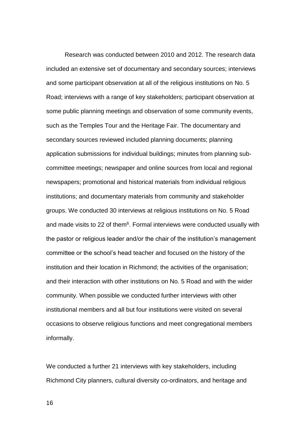Research was conducted between 2010 and 2012. The research data included an extensive set of documentary and secondary sources; interviews and some participant observation at all of the religious institutions on No. 5 Road; interviews with a range of key stakeholders; participant observation at some public planning meetings and observation of some community events, such as the Temples Tour and the Heritage Fair. The documentary and secondary sources reviewed included planning documents; planning application submissions for individual buildings; minutes from planning subcommittee meetings; newspaper and online sources from local and regional newspapers; promotional and historical materials from individual religious institutions; and documentary materials from community and stakeholder groups. We conducted 30 interviews at religious institutions on No. 5 Road and made visits to 22 of them<sup>6</sup>. Formal interviews were conducted usually with the pastor or religious leader and/or the chair of the institution's management committee or the school's head teacher and focused on the history of the institution and their location in Richmond; the activities of the organisation; and their interaction with other institutions on No. 5 Road and with the wider community. When possible we conducted further interviews with other institutional members and all but four institutions were visited on several occasions to observe religious functions and meet congregational members informally.

We conducted a further 21 interviews with key stakeholders, including Richmond City planners, cultural diversity co-ordinators, and heritage and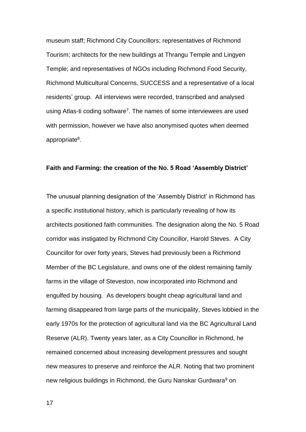museum staff; Richmond City Councillors; representatives of Richmond Tourism; architects for the new buildings at Thrangu Temple and Lingyen Temple; and representatives of NGOs including Richmond Food Security, Richmond Multicultural Concerns, SUCCESS and a representative of a local residents' group. All interviews were recorded, transcribed and analysed using Atlas-ti coding software<sup>7</sup>. The names of some interviewees are used with permission, however we have also anonymised quotes when deemed appropriate<sup>8</sup>.

# **Faith and Farming: the creation of the No. 5 Road 'Assembly District'**

The unusual planning designation of the 'Assembly District' in Richmond has a specific institutional history, which is particularly revealing of how its architects positioned faith communities. The designation along the No. 5 Road corridor was instigated by Richmond City Councillor, Harold Steves. A City Councillor for over forty years, Steves had previously been a Richmond Member of the BC Legislature, and owns one of the oldest remaining family farms in the village of Steveston, now incorporated into Richmond and engulfed by housing. As developers bought cheap agricultural land and farming disappeared from large parts of the municipality, Steves lobbied in the early 1970s for the protection of agricultural land via the BC Agricultural Land Reserve (ALR). Twenty years later, as a City Councillor in Richmond, he remained concerned about increasing development pressures and sought new measures to preserve and reinforce the ALR. Noting that two prominent new religious buildings in Richmond, the Guru Nanskar Gurdwara<sup>9</sup> on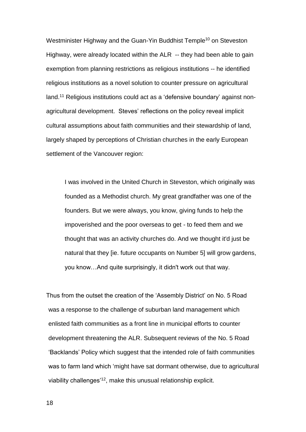Westminister Highway and the Guan-Yin Buddhist Temple<sup>10</sup> on Steveston Highway, were already located within the ALR -- they had been able to gain exemption from planning restrictions as religious institutions -- he identified religious institutions as a novel solution to counter pressure on agricultural land.<sup>11</sup> Religious institutions could act as a 'defensive boundary' against nonagricultural development. Steves' reflections on the policy reveal implicit cultural assumptions about faith communities and their stewardship of land, largely shaped by perceptions of Christian churches in the early European settlement of the Vancouver region:

I was involved in the United Church in Steveston, which originally was founded as a Methodist church. My great grandfather was one of the founders. But we were always, you know, giving funds to help the impoverished and the poor overseas to get - to feed them and we thought that was an activity churches do. And we thought it'd just be natural that they [ie. future occupants on Number 5] will grow gardens, you know…And quite surprisingly, it didn't work out that way.

Thus from the outset the creation of the 'Assembly District' on No. 5 Road was a response to the challenge of suburban land management which enlisted faith communities as a front line in municipal efforts to counter development threatening the ALR. Subsequent reviews of the No. 5 Road 'Backlands' Policy which suggest that the intended role of faith communities was to farm land which 'might have sat dormant otherwise, due to agricultural viability challenges<sup>'12</sup>, make this unusual relationship explicit.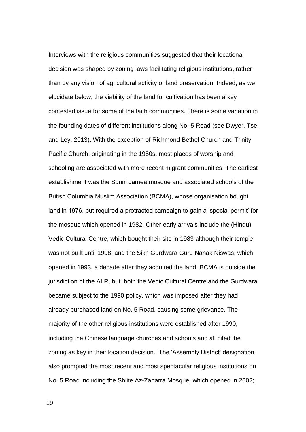Interviews with the religious communities suggested that their locational decision was shaped by zoning laws facilitating religious institutions, rather than by any vision of agricultural activity or land preservation. Indeed, as we elucidate below, the viability of the land for cultivation has been a key contested issue for some of the faith communities. There is some variation in the founding dates of different institutions along No. 5 Road (see Dwyer, Tse, and Ley, 2013). With the exception of Richmond Bethel Church and Trinity Pacific Church, originating in the 1950s, most places of worship and schooling are associated with more recent migrant communities. The earliest establishment was the Sunni Jamea mosque and associated schools of the British Columbia Muslim Association (BCMA), whose organisation bought land in 1976, but required a protracted campaign to gain a 'special permit' for the mosque which opened in 1982. Other early arrivals include the (Hindu) Vedic Cultural Centre, which bought their site in 1983 although their temple was not built until 1998, and the Sikh Gurdwara Guru Nanak Niswas, which opened in 1993, a decade after they acquired the land. BCMA is outside the jurisdiction of the ALR, but both the Vedic Cultural Centre and the Gurdwara became subject to the 1990 policy, which was imposed after they had already purchased land on No. 5 Road, causing some grievance. The majority of the other religious institutions were established after 1990, including the Chinese language churches and schools and all cited the zoning as key in their location decision. The 'Assembly District' designation also prompted the most recent and most spectacular religious institutions on No. 5 Road including the Shiite Az-Zaharra Mosque, which opened in 2002;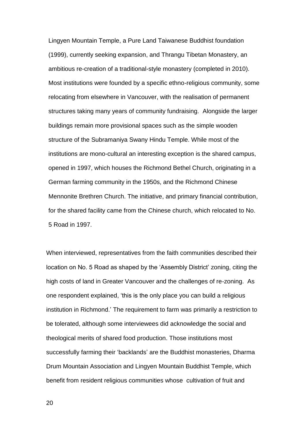Lingyen Mountain Temple, a Pure Land Taiwanese Buddhist foundation (1999), currently seeking expansion, and Thrangu Tibetan Monastery, an ambitious re-creation of a traditional-style monastery (completed in 2010). Most institutions were founded by a specific ethno-religious community, some relocating from elsewhere in Vancouver, with the realisation of permanent structures taking many years of community fundraising. Alongside the larger buildings remain more provisional spaces such as the simple wooden structure of the Subramaniya Swany Hindu Temple. While most of the institutions are mono-cultural an interesting exception is the shared campus, opened in 1997, which houses the Richmond Bethel Church, originating in a German farming community in the 1950s, and the Richmond Chinese Mennonite Brethren Church. The initiative, and primary financial contribution, for the shared facility came from the Chinese church, which relocated to No. 5 Road in 1997.

When interviewed, representatives from the faith communities described their location on No. 5 Road as shaped by the 'Assembly District' zoning, citing the high costs of land in Greater Vancouver and the challenges of re-zoning. As one respondent explained, 'this is the only place you can build a religious institution in Richmond.' The requirement to farm was primarily a restriction to be tolerated, although some interviewees did acknowledge the social and theological merits of shared food production. Those institutions most successfully farming their 'backlands' are the Buddhist monasteries, Dharma Drum Mountain Association and Lingyen Mountain Buddhist Temple, which benefit from resident religious communities whose cultivation of fruit and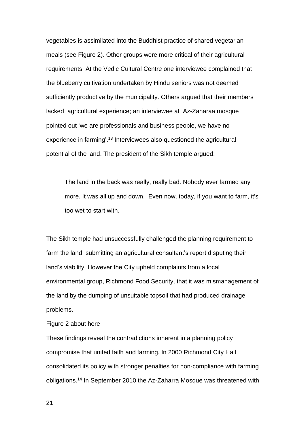vegetables is assimilated into the Buddhist practice of shared vegetarian meals (see Figure 2). Other groups were more critical of their agricultural requirements. At the Vedic Cultural Centre one interviewee complained that the blueberry cultivation undertaken by Hindu seniors was not deemed sufficiently productive by the municipality. Others argued that their members lacked agricultural experience; an interviewee at Az-Zaharaa mosque pointed out 'we are professionals and business people, we have no experience in farming'.<sup>13</sup> Interviewees also questioned the agricultural potential of the land. The president of the Sikh temple argued:

The land in the back was really, really bad. Nobody ever farmed any more. It was all up and down. Even now, today, if you want to farm, it's too wet to start with.

The Sikh temple had unsuccessfully challenged the planning requirement to farm the land, submitting an agricultural consultant's report disputing their land's viability. However the City upheld complaints from a local environmental group, Richmond Food Security, that it was mismanagement of the land by the dumping of unsuitable topsoil that had produced drainage problems.

# Figure 2 about here

These findings reveal the contradictions inherent in a planning policy compromise that united faith and farming. In 2000 Richmond City Hall consolidated its policy with stronger penalties for non-compliance with farming obligations.<sup>14</sup> In September 2010 the Az-Zaharra Mosque was threatened with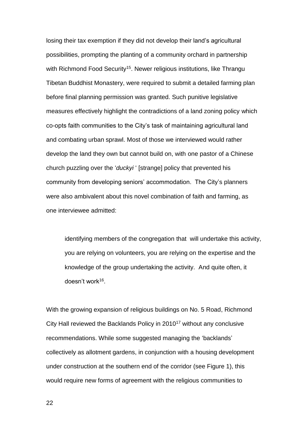losing their tax exemption if they did not develop their land's agricultural possibilities, prompting the planting of a community orchard in partnership with Richmond Food Security<sup>15</sup>. Newer religious institutions, like Thrangu Tibetan Buddhist Monastery, were required to submit a detailed farming plan before final planning permission was granted. Such punitive legislative measures effectively highlight the contradictions of a land zoning policy which co-opts faith communities to the City's task of maintaining agricultural land and combating urban sprawl. Most of those we interviewed would rather develop the land they own but cannot build on, with one pastor of a Chinese church puzzling over the '*duckyi* ' [strange] policy that prevented his community from developing seniors' accommodation. The City's planners were also ambivalent about this novel combination of faith and farming, as one interviewee admitted:

identifying members of the congregation that will undertake this activity, you are relying on volunteers, you are relying on the expertise and the knowledge of the group undertaking the activity. And quite often, it doesn't work<sup>16</sup> .

With the growing expansion of religious buildings on No. 5 Road, Richmond City Hall reviewed the Backlands Policy in 2010<sup>17</sup> without any conclusive recommendations. While some suggested managing the 'backlands' collectively as allotment gardens, in conjunction with a housing development under construction at the southern end of the corridor (see Figure 1), this would require new forms of agreement with the religious communities to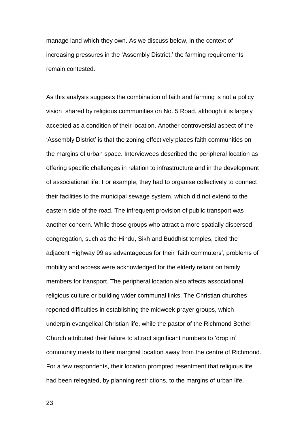manage land which they own. As we discuss below, in the context of increasing pressures in the 'Assembly District,' the farming requirements remain contested.

As this analysis suggests the combination of faith and farming is not a policy vision shared by religious communities on No. 5 Road, although it is largely accepted as a condition of their location. Another controversial aspect of the 'Assembly District' is that the zoning effectively places faith communities on the margins of urban space. Interviewees described the peripheral location as offering specific challenges in relation to infrastructure and in the development of associational life. For example, they had to organise collectively to connect their facilities to the municipal sewage system, which did not extend to the eastern side of the road. The infrequent provision of public transport was another concern. While those groups who attract a more spatially dispersed congregation, such as the Hindu, Sikh and Buddhist temples, cited the adjacent Highway 99 as advantageous for their 'faith commuters', problems of mobility and access were acknowledged for the elderly reliant on family members for transport. The peripheral location also affects associational religious culture or building wider communal links. The Christian churches reported difficulties in establishing the midweek prayer groups, which underpin evangelical Christian life, while the pastor of the Richmond Bethel Church attributed their failure to attract significant numbers to 'drop in' community meals to their marginal location away from the centre of Richmond. For a few respondents, their location prompted resentment that religious life had been relegated, by planning restrictions, to the margins of urban life.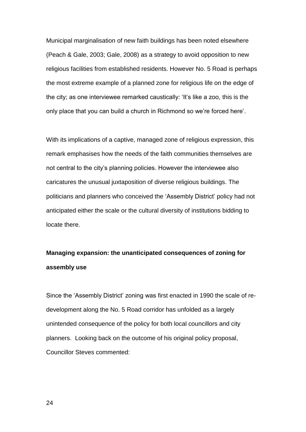Municipal marginalisation of new faith buildings has been noted elsewhere (Peach & Gale, 2003; Gale, 2008) as a strategy to avoid opposition to new religious facilities from established residents. However No. 5 Road is perhaps the most extreme example of a planned zone for religious life on the edge of the city; as one interviewee remarked caustically: 'It's like a zoo, this is the only place that you can build a church in Richmond so we're forced here'.

With its implications of a captive, managed zone of religious expression, this remark emphasises how the needs of the faith communities themselves are not central to the city's planning policies. However the interviewee also caricatures the unusual juxtaposition of diverse religious buildings. The politicians and planners who conceived the 'Assembly District' policy had not anticipated either the scale or the cultural diversity of institutions bidding to locate there.

# **Managing expansion: the unanticipated consequences of zoning for assembly use**

Since the 'Assembly District' zoning was first enacted in 1990 the scale of redevelopment along the No. 5 Road corridor has unfolded as a largely unintended consequence of the policy for both local councillors and city planners. Looking back on the outcome of his original policy proposal, Councillor Steves commented: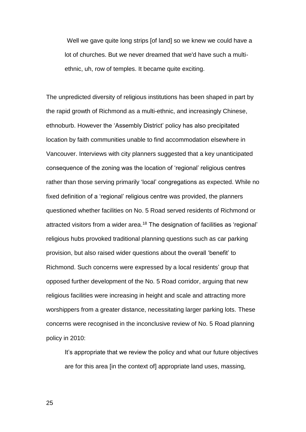Well we gave quite long strips [of land] so we knew we could have a lot of churches. But we never dreamed that we'd have such a multiethnic, uh, row of temples. It became quite exciting.

The unpredicted diversity of religious institutions has been shaped in part by the rapid growth of Richmond as a multi-ethnic, and increasingly Chinese, ethnoburb. However the 'Assembly District' policy has also precipitated location by faith communities unable to find accommodation elsewhere in Vancouver. Interviews with city planners suggested that a key unanticipated consequence of the zoning was the location of 'regional' religious centres rather than those serving primarily 'local' congregations as expected. While no fixed definition of a 'regional' religious centre was provided, the planners questioned whether facilities on No. 5 Road served residents of Richmond or attracted visitors from a wider area.<sup>18</sup> The designation of facilities as 'regional' religious hubs provoked traditional planning questions such as car parking provision, but also raised wider questions about the overall 'benefit' to Richmond. Such concerns were expressed by a local residents' group that opposed further development of the No. 5 Road corridor, arguing that new religious facilities were increasing in height and scale and attracting more worshippers from a greater distance, necessitating larger parking lots. These concerns were recognised in the inconclusive review of No. 5 Road planning policy in 2010:

It's appropriate that we review the policy and what our future objectives are for this area [in the context of] appropriate land uses, massing,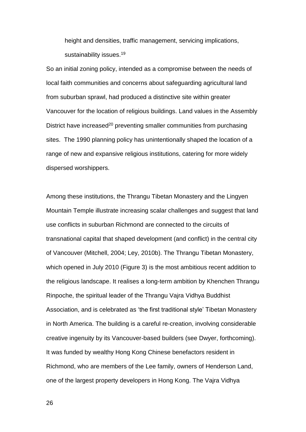height and densities, traffic management, servicing implications, sustainability issues.<sup>19</sup>

So an initial zoning policy, intended as a compromise between the needs of local faith communities and concerns about safeguarding agricultural land from suburban sprawl, had produced a distinctive site within greater Vancouver for the location of religious buildings. Land values in the Assembly District have increased<sup>20</sup> preventing smaller communities from purchasing sites. The 1990 planning policy has unintentionally shaped the location of a range of new and expansive religious institutions, catering for more widely dispersed worshippers.

Among these institutions, the Thrangu Tibetan Monastery and the Lingyen Mountain Temple illustrate increasing scalar challenges and suggest that land use conflicts in suburban Richmond are connected to the circuits of transnational capital that shaped development (and conflict) in the central city of Vancouver (Mitchell, 2004; Ley, 2010b). The Thrangu Tibetan Monastery, which opened in July 2010 (Figure 3) is the most ambitious recent addition to the religious landscape. It realises a long-term ambition by Khenchen Thrangu Rinpoche, the spiritual leader of the Thrangu Vajra Vidhya Buddhist Association, and is celebrated as 'the first traditional style' Tibetan Monastery in North America. The building is a careful re-creation, involving considerable creative ingenuity by its Vancouver-based builders (see Dwyer, forthcoming). It was funded by wealthy Hong Kong Chinese benefactors resident in Richmond, who are members of the Lee family, owners of Henderson Land, one of the largest property developers in Hong Kong. The Vajra Vidhya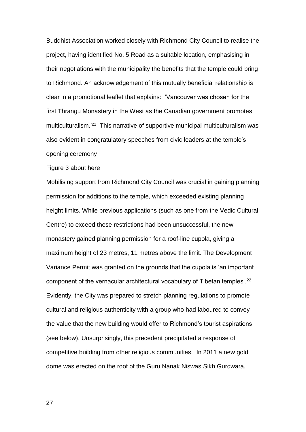Buddhist Association worked closely with Richmond City Council to realise the project, having identified No. 5 Road as a suitable location, emphasising in their negotiations with the municipality the benefits that the temple could bring to Richmond. An acknowledgement of this mutually beneficial relationship is clear in a promotional leaflet that explains: 'Vancouver was chosen for the first Thrangu Monastery in the West as the Canadian government promotes multiculturalism.<sup>'21</sup> This narrative of supportive municipal multiculturalism was also evident in congratulatory speeches from civic leaders at the temple's opening ceremony

#### Figure 3 about here

Mobilising support from Richmond City Council was crucial in gaining planning permission for additions to the temple, which exceeded existing planning height limits. While previous applications (such as one from the Vedic Cultural Centre) to exceed these restrictions had been unsuccessful, the new monastery gained planning permission for a roof-line cupola, giving a maximum height of 23 metres, 11 metres above the limit. The Development Variance Permit was granted on the grounds that the cupola is 'an important component of the vernacular architectural vocabulary of Tibetan temples'.<sup>22</sup> Evidently, the City was prepared to stretch planning regulations to promote cultural and religious authenticity with a group who had laboured to convey the value that the new building would offer to Richmond's tourist aspirations (see below). Unsurprisingly, this precedent precipitated a response of competitive building from other religious communities. In 2011 a new gold dome was erected on the roof of the Guru Nanak Niswas Sikh Gurdwara,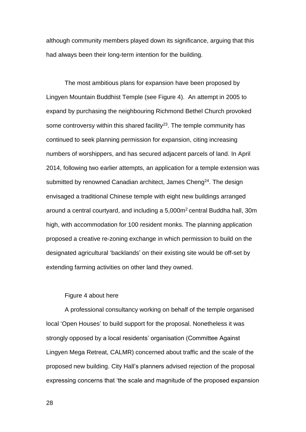although community members played down its significance, arguing that this had always been their long-term intention for the building.

The most ambitious plans for expansion have been proposed by Lingyen Mountain Buddhist Temple (see Figure 4). An attempt in 2005 to expand by purchasing the neighbouring Richmond Bethel Church provoked some controversy within this shared facility<sup>23</sup>. The temple community has continued to seek planning permission for expansion, citing increasing numbers of worshippers, and has secured adjacent parcels of land. In April 2014, following two earlier attempts, an application for a temple extension was submitted by renowned Canadian architect, James Cheng<sup>24</sup>. The design envisaged a traditional Chinese temple with eight new buildings arranged around a central courtyard, and including a 5,000m<sup>2</sup> central Buddha hall, 30m high, with accommodation for 100 resident monks. The planning application proposed a creative re-zoning exchange in which permission to build on the designated agricultural 'backlands' on their existing site would be off-set by extending farming activities on other land they owned.

# Figure 4 about here

A professional consultancy working on behalf of the temple organised local 'Open Houses' to build support for the proposal. Nonetheless it was strongly opposed by a local residents' organisation (Committee Against Lingyen Mega Retreat, CALMR) concerned about traffic and the scale of the proposed new building. City Hall's planners advised rejection of the proposal expressing concerns that 'the scale and magnitude of the proposed expansion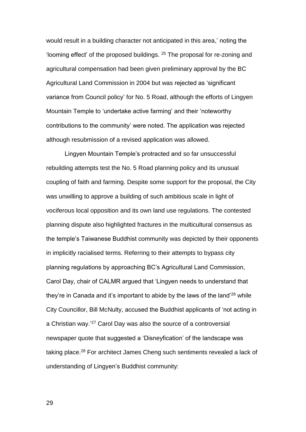would result in a building character not anticipated in this area,' noting the 'looming effect' of the proposed buildings. <sup>25</sup> The proposal for re-zoning and agricultural compensation had been given preliminary approval by the BC Agricultural Land Commission in 2004 but was rejected as 'significant variance from Council policy' for No. 5 Road, although the efforts of Lingyen Mountain Temple to 'undertake active farming' and their 'noteworthy contributions to the community' were noted. The application was rejected although resubmission of a revised application was allowed.

Lingyen Mountain Temple's protracted and so far unsuccessful rebuilding attempts test the No. 5 Road planning policy and its unusual coupling of faith and farming. Despite some support for the proposal, the City was unwilling to approve a building of such ambitious scale in light of vociferous local opposition and its own land use regulations. The contested planning dispute also highlighted fractures in the multicultural consensus as the temple's Taiwanese Buddhist community was depicted by their opponents in implicitly racialised terms. Referring to their attempts to bypass city planning regulations by approaching BC's Agricultural Land Commission, Carol Day, chair of CALMR argued that 'Lingyen needs to understand that they're in Canada and it's important to abide by the laws of the land'<sup>26</sup> while City Councillor, Bill McNulty, accused the Buddhist applicants of 'not acting in a Christian way.' <sup>27</sup> Carol Day was also the source of a controversial newspaper quote that suggested a 'Disneyfication' of the landscape was taking place.<sup>28</sup> For architect James Cheng such sentiments revealed a lack of understanding of Lingyen's Buddhist community: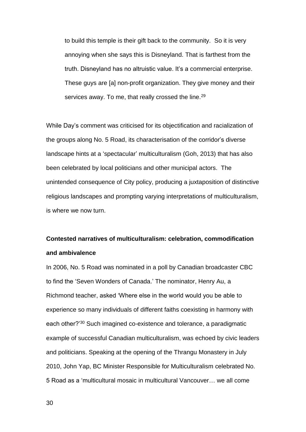to build this temple is their gift back to the community. So it is very annoying when she says this is Disneyland. That is farthest from the truth. Disneyland has no altruistic value. It's a commercial enterprise. These guys are [a] non-profit organization. They give money and their services away. To me, that really crossed the line.<sup>29</sup>

While Day's comment was criticised for its objectification and racialization of the groups along No. 5 Road, its characterisation of the corridor's diverse landscape hints at a 'spectacular' multiculturalism (Goh, 2013) that has also been celebrated by local politicians and other municipal actors. The unintended consequence of City policy, producing a juxtaposition of distinctive religious landscapes and prompting varying interpretations of multiculturalism, is where we now turn.

# **Contested narratives of multiculturalism: celebration, commodification and ambivalence**

In 2006, No. 5 Road was nominated in a poll by Canadian broadcaster CBC to find the 'Seven Wonders of Canada.' The nominator, Henry Au, a Richmond teacher, asked 'Where else in the world would you be able to experience so many individuals of different faiths coexisting in harmony with each other?'<sup>30</sup> Such imagined co-existence and tolerance, a paradigmatic example of successful Canadian multiculturalism, was echoed by civic leaders and politicians. Speaking at the opening of the Thrangu Monastery in July 2010, John Yap, BC Minister Responsible for Multiculturalism celebrated No. 5 Road as a 'multicultural mosaic in multicultural Vancouver… we all come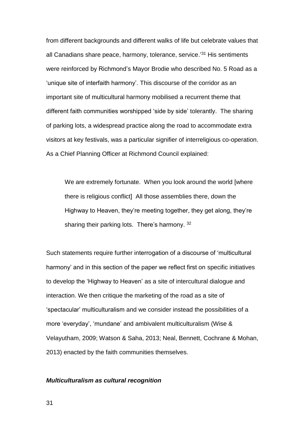from different backgrounds and different walks of life but celebrate values that all Canadians share peace, harmony, tolerance, service.' <sup>31</sup> His sentiments were reinforced by Richmond's Mayor Brodie who described No. 5 Road as a 'unique site of interfaith harmony'. This discourse of the corridor as an important site of multicultural harmony mobilised a recurrent theme that different faith communities worshipped 'side by side' tolerantly. The sharing of parking lots, a widespread practice along the road to accommodate extra visitors at key festivals, was a particular signifier of interreligious co-operation. As a Chief Planning Officer at Richmond Council explained:

We are extremely fortunate. When you look around the world [where there is religious conflict] All those assemblies there, down the Highway to Heaven, they're meeting together, they get along, they're sharing their parking lots. There's harmony. 32

Such statements require further interrogation of a discourse of 'multicultural harmony' and in this section of the paper we reflect first on specific initiatives to develop the 'Highway to Heaven' as a site of intercultural dialogue and interaction. We then critique the marketing of the road as a site of 'spectacular' multiculturalism and we consider instead the possibilities of a more 'everyday', 'mundane' and ambivalent multiculturalism (Wise & Velayutham, 2009; Watson & Saha, 2013; Neal, Bennett, Cochrane & Mohan, 2013) enacted by the faith communities themselves.

# *Multiculturalism as cultural recognition*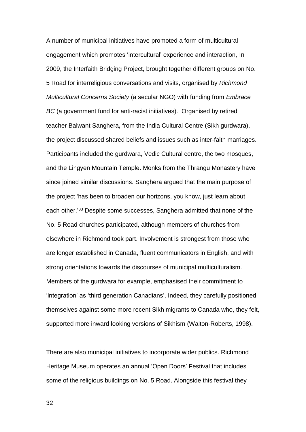A number of municipal initiatives have promoted a form of multicultural engagement which promotes 'intercultural' experience and interaction, In 2009, the Interfaith Bridging Project, brought together different groups on No. 5 Road for interreligious conversations and visits, organised by *Richmond Multicultural Concerns Society* (a secular NGO) with funding from *Embrace BC* (a government fund for anti-racist initiatives). Organised by retired teacher Balwant Sanghera**,** from the India Cultural Centre (Sikh gurdwara), the project discussed shared beliefs and issues such as inter-faith marriages. Participants included the gurdwara, Vedic Cultural centre, the two mosques, and the Lingyen Mountain Temple. Monks from the Thrangu Monastery have since joined similar discussions. Sanghera argued that the main purpose of the project 'has been to broaden our horizons, you know, just learn about each other.<sup>33</sup> Despite some successes, Sanghera admitted that none of the No. 5 Road churches participated, although members of churches from elsewhere in Richmond took part. Involvement is strongest from those who are longer established in Canada, fluent communicators in English, and with strong orientations towards the discourses of municipal multiculturalism. Members of the gurdwara for example, emphasised their commitment to 'integration' as 'third generation Canadians'. Indeed, they carefully positioned themselves against some more recent Sikh migrants to Canada who, they felt, supported more inward looking versions of Sikhism (Walton-Roberts, 1998).

There are also municipal initiatives to incorporate wider publics. Richmond Heritage Museum operates an annual 'Open Doors' Festival that includes some of the religious buildings on No. 5 Road. Alongside this festival they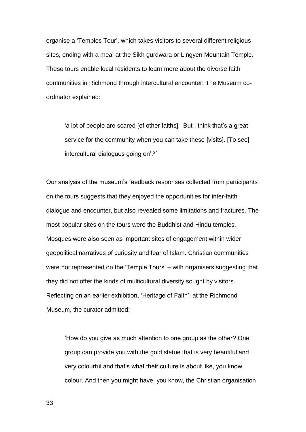organise a 'Temples Tour', which takes visitors to several different religious sites, ending with a meal at the Sikh gurdwara or Lingyen Mountain Temple. These tours enable local residents to learn more about the diverse faith communities in Richmond through intercultural encounter. The Museum coordinator explained:

'a lot of people are scared [of other faiths]. But I think that's a great service for the community when you can take these [visits]. [To see] intercultural dialogues going on'.<sup>34</sup>

Our analysis of the museum's feedback responses collected from participants on the tours suggests that they enjoyed the opportunities for inter-faith dialogue and encounter, but also revealed some limitations and fractures. The most popular sites on the tours were the Buddhist and Hindu temples. Mosques were also seen as important sites of engagement within wider geopolitical narratives of curiosity and fear of Islam. Christian communities were not represented on the 'Temple Tours' – with organisers suggesting that they did not offer the kinds of multicultural diversity sought by visitors. Reflecting on an earlier exhibition, 'Heritage of Faith', at the Richmond Museum, the curator admitted:

'How do you give as much attention to one group as the other? One group can provide you with the gold statue that is very beautiful and very colourful and that's what their culture is about like, you know, colour. And then you might have, you know, the Christian organisation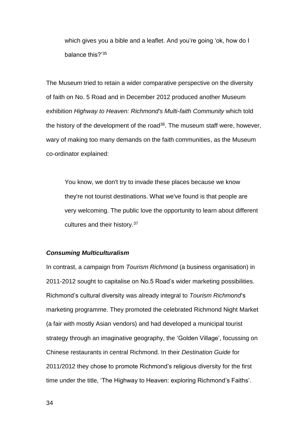which gives you a bible and a leaflet. And you're going 'ok, how do I balance this?'<sup>35</sup>

The Museum tried to retain a wider comparative perspective on the diversity of faith on No. 5 Road and in December 2012 produced another Museum exhibition *Highway to Heaven: Richmond's Multi-faith Community* which told the history of the development of the road<sup>36</sup>. The museum staff were, however, wary of making too many demands on the faith communities, as the Museum co-ordinator explained:

You know, we don't try to invade these places because we know they're not tourist destinations. What we've found is that people are very welcoming. The public love the opportunity to learn about different cultures and their history.<sup>37</sup>

#### *Consuming Multiculturalism*

In contrast, a campaign from *Tourism Richmond* (a business organisation) in 2011-2012 sought to capitalise on No.5 Road's wider marketing possibilities. Richmond's cultural diversity was already integral to *Tourism Richmond*'s marketing programme. They promoted the celebrated Richmond Night Market (a fair with mostly Asian vendors) and had developed a municipal tourist strategy through an imaginative geography, the 'Golden Village', focussing on Chinese restaurants in central Richmond. In their *Destination Guide* for 2011/2012 they chose to promote Richmond's religious diversity for the first time under the title, 'The Highway to Heaven: exploring Richmond's Faiths'.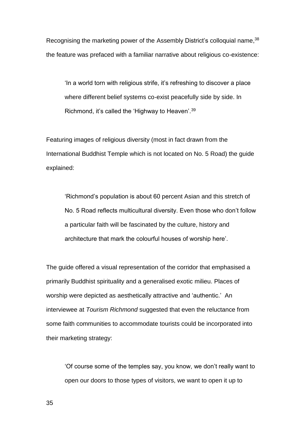Recognising the marketing power of the Assembly District's colloquial name, 38 the feature was prefaced with a familiar narrative about religious co-existence:

'In a world torn with religious strife, it's refreshing to discover a place where different belief systems co-exist peacefully side by side. In Richmond, it's called the 'Highway to Heaven'.<sup>39</sup>

Featuring images of religious diversity (most in fact drawn from the International Buddhist Temple which is not located on No. 5 Road) the guide explained:

'Richmond's population is about 60 percent Asian and this stretch of No. 5 Road reflects multicultural diversity. Even those who don't follow a particular faith will be fascinated by the culture, history and architecture that mark the colourful houses of worship here'.

The guide offered a visual representation of the corridor that emphasised a primarily Buddhist spirituality and a generalised exotic milieu. Places of worship were depicted as aesthetically attractive and 'authentic.' An interviewee at *Tourism Richmond* suggested that even the reluctance from some faith communities to accommodate tourists could be incorporated into their marketing strategy:

'Of course some of the temples say, you know, we don't really want to open our doors to those types of visitors, we want to open it up to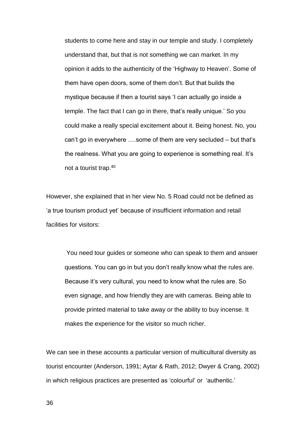students to come here and stay in our temple and study. I completely understand that, but that is not something we can market. In my opinion it adds to the authenticity of the 'Highway to Heaven'. Some of them have open doors, some of them don't. But that builds the mystique because if then a tourist says 'I can actually go inside a temple. The fact that I can go in there, that's really unique.' So you could make a really special excitement about it. Being honest. No, you can't go in everywhere ….some of them are very secluded – but that's the realness. What you are going to experience is something real. It's not a tourist trap. 40

However, she explained that in her view No. 5 Road could not be defined as 'a true tourism product yet' because of insufficient information and retail facilities for visitors:

You need tour guides or someone who can speak to them and answer questions. You can go in but you don't really know what the rules are. Because it's very cultural, you need to know what the rules are. So even signage, and how friendly they are with cameras. Being able to provide printed material to take away or the ability to buy incense. It makes the experience for the visitor so much richer.

We can see in these accounts a particular version of multicultural diversity as tourist encounter (Anderson, 1991; Aytar & Rath, 2012; Dwyer & Crang, 2002) in which religious practices are presented as 'colourful' or 'authentic.'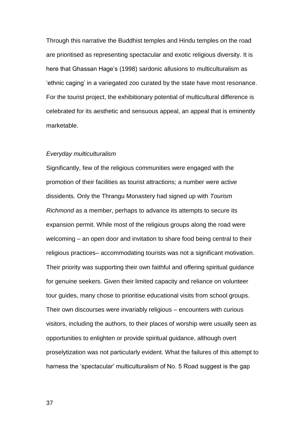Through this narrative the Buddhist temples and Hindu temples on the road are prioritised as representing spectacular and exotic religious diversity. It is here that Ghassan Hage's (1998) sardonic allusions to multiculturalism as 'ethnic caging' in a variegated zoo curated by the state have most resonance. For the tourist project, the exhibitionary potential of multicultural difference is celebrated for its aesthetic and sensuous appeal, an appeal that is eminently marketable.

#### *Everyday multiculturalism*

Significantly, few of the religious communities were engaged with the promotion of their facilities as tourist attractions; a number were active dissidents. Only the Thrangu Monastery had signed up with *Tourism Richmond* as a member, perhaps to advance its attempts to secure its expansion permit. While most of the religious groups along the road were welcoming – an open door and invitation to share food being central to their religious practices– accommodating tourists was not a significant motivation. Their priority was supporting their own faithful and offering spiritual guidance for genuine seekers. Given their limited capacity and reliance on volunteer tour guides, many chose to prioritise educational visits from school groups. Their own discourses were invariably religious – encounters with curious visitors, including the authors, to their places of worship were usually seen as opportunities to enlighten or provide spiritual guidance, although overt proselytization was not particularly evident. What the failures of this attempt to harness the 'spectacular' multiculturalism of No. 5 Road suggest is the gap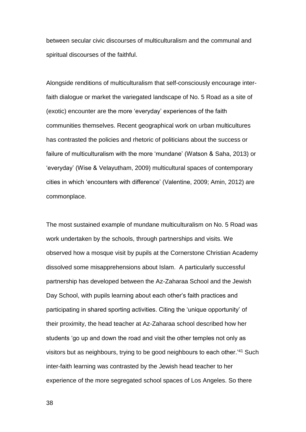between secular civic discourses of multiculturalism and the communal and spiritual discourses of the faithful.

Alongside renditions of multiculturalism that self-consciously encourage interfaith dialogue or market the variegated landscape of No. 5 Road as a site of (exotic) encounter are the more 'everyday' experiences of the faith communities themselves. Recent geographical work on urban multicultures has contrasted the policies and rhetoric of politicians about the success or failure of multiculturalism with the more 'mundane' (Watson & Saha, 2013) or 'everyday' (Wise & Velayutham, 2009) multicultural spaces of contemporary cities in which 'encounters with difference' (Valentine, 2009; Amin, 2012) are commonplace.

The most sustained example of mundane multiculturalism on No. 5 Road was work undertaken by the schools, through partnerships and visits. We observed how a mosque visit by pupils at the Cornerstone Christian Academy dissolved some misapprehensions about Islam. A particularly successful partnership has developed between the Az-Zaharaa School and the Jewish Day School, with pupils learning about each other's faith practices and participating in shared sporting activities. Citing the 'unique opportunity' of their proximity, the head teacher at Az-Zaharaa school described how her students 'go up and down the road and visit the other temples not only as visitors but as neighbours, trying to be good neighbours to each other.'<sup>41</sup> Such inter-faith learning was contrasted by the Jewish head teacher to her experience of the more segregated school spaces of Los Angeles. So there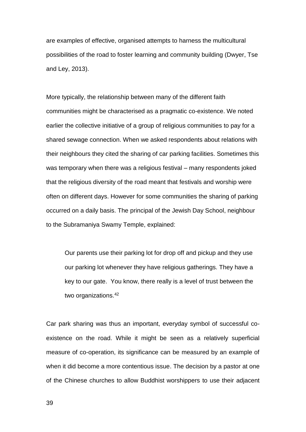are examples of effective, organised attempts to harness the multicultural possibilities of the road to foster learning and community building (Dwyer, Tse and Ley, 2013).

More typically, the relationship between many of the different faith communities might be characterised as a pragmatic co-existence. We noted earlier the collective initiative of a group of religious communities to pay for a shared sewage connection. When we asked respondents about relations with their neighbours they cited the sharing of car parking facilities. Sometimes this was temporary when there was a religious festival – many respondents joked that the religious diversity of the road meant that festivals and worship were often on different days. However for some communities the sharing of parking occurred on a daily basis. The principal of the Jewish Day School, neighbour to the Subramaniya Swamy Temple, explained:

Our parents use their parking lot for drop off and pickup and they use our parking lot whenever they have religious gatherings. They have a key to our gate. You know, there really is a level of trust between the two organizations.<sup>42</sup>

Car park sharing was thus an important, everyday symbol of successful coexistence on the road. While it might be seen as a relatively superficial measure of co-operation, its significance can be measured by an example of when it did become a more contentious issue. The decision by a pastor at one of the Chinese churches to allow Buddhist worshippers to use their adjacent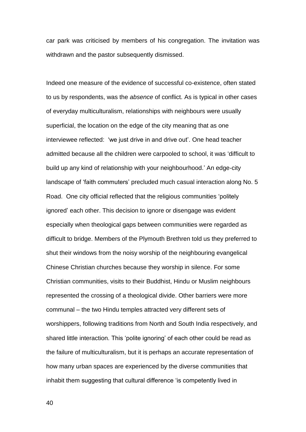car park was criticised by members of his congregation. The invitation was withdrawn and the pastor subsequently dismissed.

Indeed one measure of the evidence of successful co-existence, often stated to us by respondents, was the *absence* of conflict. As is typical in other cases of everyday multiculturalism, relationships with neighbours were usually superficial, the location on the edge of the city meaning that as one interviewee reflected: 'we just drive in and drive out'. One head teacher admitted because all the children were carpooled to school, it was 'difficult to build up any kind of relationship with your neighbourhood.' An edge-city landscape of 'faith commuters' precluded much casual interaction along No. 5 Road. One city official reflected that the religious communities 'politely ignored' each other. This decision to ignore or disengage was evident especially when theological gaps between communities were regarded as difficult to bridge. Members of the Plymouth Brethren told us they preferred to shut their windows from the noisy worship of the neighbouring evangelical Chinese Christian churches because they worship in silence. For some Christian communities, visits to their Buddhist, Hindu or Muslim neighbours represented the crossing of a theological divide. Other barriers were more communal – the two Hindu temples attracted very different sets of worshippers, following traditions from North and South India respectively, and shared little interaction. This 'polite ignoring' of each other could be read as the failure of multiculturalism, but it is perhaps an accurate representation of how many urban spaces are experienced by the diverse communities that inhabit them suggesting that cultural difference 'is competently lived in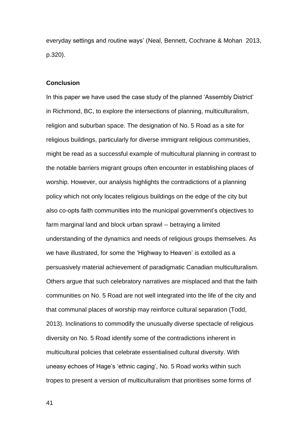everyday settings and routine ways' (Neal, Bennett, Cochrane & Mohan 2013, p.320).

### **Conclusion**

In this paper we have used the case study of the planned 'Assembly District' in Richmond, BC, to explore the intersections of planning, multiculturalism, religion and suburban space. The designation of No. 5 Road as a site for religious buildings, particularly for diverse immigrant religious communities, might be read as a successful example of multicultural planning in contrast to the notable barriers migrant groups often encounter in establishing places of worship. However, our analysis highlights the contradictions of a planning policy which not only locates religious buildings on the edge of the city but also co-opts faith communities into the municipal government's objectives to farm marginal land and block urban sprawl -- betraying a limited understanding of the dynamics and needs of religious groups themselves. As we have illustrated, for some the 'Highway to Heaven' is extolled as a persuasively material achievement of paradigmatic Canadian multiculturalism. Others argue that such celebratory narratives are misplaced and that the faith communities on No. 5 Road are not well integrated into the life of the city and that communal places of worship may reinforce cultural separation (Todd, 2013). Inclinations to commodify the unusually diverse spectacle of religious diversity on No. 5 Road identify some of the contradictions inherent in multicultural policies that celebrate essentialised cultural diversity. With uneasy echoes of Hage's 'ethnic caging', No. 5 Road works within such tropes to present a version of multiculturalism that prioritises some forms of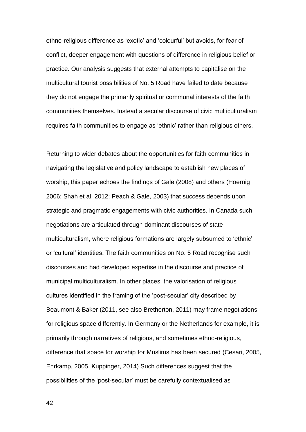ethno-religious difference as 'exotic' and 'colourful' but avoids, for fear of conflict, deeper engagement with questions of difference in religious belief or practice. Our analysis suggests that external attempts to capitalise on the multicultural tourist possibilities of No. 5 Road have failed to date because they do not engage the primarily spiritual or communal interests of the faith communities themselves. Instead a secular discourse of civic multiculturalism requires faith communities to engage as 'ethnic' rather than religious others.

Returning to wider debates about the opportunities for faith communities in navigating the legislative and policy landscape to establish new places of worship, this paper echoes the findings of Gale (2008) and others (Hoernig, 2006; Shah et al. 2012; Peach & Gale, 2003) that success depends upon strategic and pragmatic engagements with civic authorities. In Canada such negotiations are articulated through dominant discourses of state multiculturalism, where religious formations are largely subsumed to 'ethnic' or 'cultural' identities. The faith communities on No. 5 Road recognise such discourses and had developed expertise in the discourse and practice of municipal multiculturalism. In other places, the valorisation of religious cultures identified in the framing of the 'post-secular' city described by Beaumont & Baker (2011, see also Bretherton, 2011) may frame negotiations for religious space differently. In Germany or the Netherlands for example, it is primarily through narratives of religious, and sometimes ethno-religious, difference that space for worship for Muslims has been secured (Cesari, 2005, Ehrkamp, 2005, Kuppinger, 2014) Such differences suggest that the possibilities of the 'post-secular' must be carefully contextualised as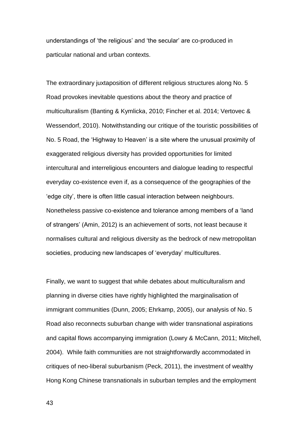understandings of 'the religious' and 'the secular' are co-produced in particular national and urban contexts.

The extraordinary juxtaposition of different religious structures along No. 5 Road provokes inevitable questions about the theory and practice of multiculturalism (Banting & Kymlicka, 2010; Fincher et al. 2014; Vertovec & Wessendorf, 2010). Notwithstanding our critique of the touristic possibilities of No. 5 Road, the 'Highway to Heaven' is a site where the unusual proximity of exaggerated religious diversity has provided opportunities for limited intercultural and interreligious encounters and dialogue leading to respectful everyday co-existence even if, as a consequence of the geographies of the 'edge city', there is often little casual interaction between neighbours. Nonetheless passive co-existence and tolerance among members of a 'land of strangers' (Amin, 2012) is an achievement of sorts, not least because it normalises cultural and religious diversity as the bedrock of new metropolitan societies, producing new landscapes of 'everyday' multicultures.

Finally, we want to suggest that while debates about multiculturalism and planning in diverse cities have rightly highlighted the marginalisation of immigrant communities (Dunn, 2005; Ehrkamp, 2005), our analysis of No. 5 Road also reconnects suburban change with wider transnational aspirations and capital flows accompanying immigration (Lowry & McCann, 2011; Mitchell, 2004). While faith communities are not straightforwardly accommodated in critiques of neo-liberal suburbanism (Peck, 2011), the investment of wealthy Hong Kong Chinese transnationals in suburban temples and the employment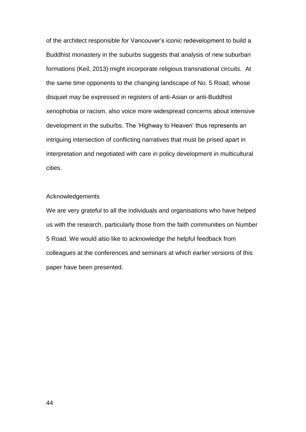of the architect responsible for Vancouver's iconic redevelopment to build a Buddhist monastery in the suburbs suggests that analysis of new suburban formations (Keil, 2013) might incorporate religious transnational circuits. At the same time opponents to the changing landscape of No. 5 Road, whose disquiet may be expressed in registers of anti-Asian or anti-Buddhist xenophobia or racism, also voice more widespread concerns about intensive development in the suburbs. The 'Highway to Heaven' thus represents an intriguing intersection of conflicting narratives that must be prised apart in interpretation and negotiated with care in policy development in multicultural cities.

### Acknowledgements

We are very grateful to all the individuals and organisations who have helped us with the research, particularly those from the faith communities on Number 5 Road. We would also like to acknowledge the helpful feedback from colleagues at the conferences and seminars at which earlier versions of this paper have been presented.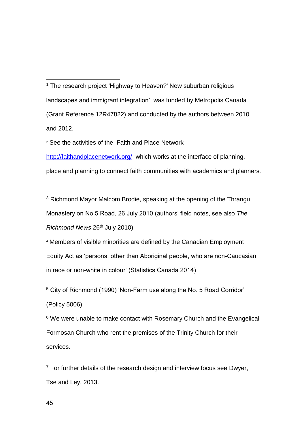<u>.</u> <sup>1</sup> The research project 'Highway to Heaven?' New suburban religious landscapes and immigrant integration' was funded by Metropolis Canada (Grant Reference 12R47822) and conducted by the authors between 2010 and 2012.

<sup>2</sup> See the activities of the Faith and Place Network

<http://faithandplacenetwork.org/>which works at the interface of planning, place and planning to connect faith communities with academics and planners.

<sup>3</sup> Richmond Mayor Malcom Brodie, speaking at the opening of the Thrangu Monastery on No.5 Road, 26 July 2010 (authors' field notes, see also *The Richmond News* 26th July 2010)

<sup>4</sup> Members of visible minorities are defined by the Canadian Employment Equity Act as 'persons, other than Aboriginal people, who are non-Caucasian in race or non-white in colour' (Statistics Canada 2014)

<sup>5</sup> City of Richmond (1990) 'Non-Farm use along the No. 5 Road Corridor' (Policy 5006)

<sup>6</sup> We were unable to make contact with Rosemary Church and the Evangelical Formosan Church who rent the premises of the Trinity Church for their services.

 $7$  For further details of the research design and interview focus see Dwyer, Tse and Ley, 2013.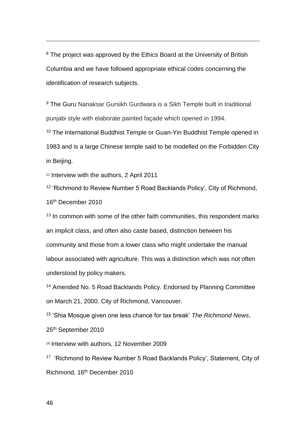<sup>8</sup> The project was approved by the Ethics Board at the University of British Columbia and we have followed appropriate ethical codes concerning the identification of research subjects.

<sup>9</sup> The Guru Nanaksar Gursikh Gurdwara is a Sikh Temple built in traditional punjabi style with elaborate painted façade which opened in 1994.

<sup>10</sup> The International Buddhist Temple or Guan-Yin Buddhist Temple opened in 1983 and is a large Chinese temple said to be modelled on the Forbidden City in Beijing.

<sup>11</sup> Interview with the authors, 2 April 2011

<sup>12</sup> 'Richmond to Review Number 5 Road Backlands Policy', City of Richmond, 16th December 2010

 $13$  In common with some of the other faith communities, this respondent marks an implicit class, and often also caste based, distinction between his community and those from a lower class who might undertake the manual labour associated with agriculture. This was a distinction which was not often understood by policy makers.

<sup>14</sup> Amended No. 5 Road Backlands Policy. Endorsed by Planning Committee on March 21, 2000. City of Richmond, Vancouver.

<sup>15</sup> 'Shia Mosque given one less chance for tax break' *The Richmond News*, 25th September 2010

<sup>16</sup> Interview with authors, 12 November 2009

<sup>17</sup> 'Richmond to Review Number 5 Road Backlands Policy', Statement, City of Richmond, 16th December 2010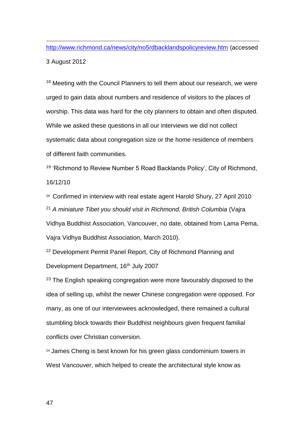<u>.</u> <http://www.richmond.ca/news/city/no5rdbacklandspolicyreview.htm> (accessed 3 August 2012

<sup>18</sup> Meeting with the Council Planners to tell them about our research, we were urged to gain data about numbers and residence of visitors to the places of worship. This data was hard for the city planners to obtain and often disputed. While we asked these questions in all our interviews we did not collect systematic data about congregation size or the home residence of members of different faith communities.

<sup>19</sup> 'Richmond to Review Number 5 Road Backlands Policy', City of Richmond, 16/12/10

20 Confirmed in interview with real estate agent Harold Shury, 27 April 2010 <sup>21</sup> *A miniature Tibet you should visit in Richmond, British Columbia* (Vajra Vidhya Buddhist Association, Vancouver, no date, obtained from Lama Pema, Vajra Vidhya Buddhist Association, March 2010).

<sup>22</sup> Development Permit Panel Report, City of Richmond Planning and Development Department, 16<sup>th</sup> July 2007

<sup>23</sup> The English speaking congregation were more favourably disposed to the idea of selling up, whilst the newer Chinese congregation were opposed. For many, as one of our interviewees acknowledged, there remained a cultural stumbling block towards their Buddhist neighbours given frequent familial conflicts over Christian conversion.

<sup>24</sup> James Cheng is best known for his green glass condominium towers in West Vancouver, which helped to create the architectural style know as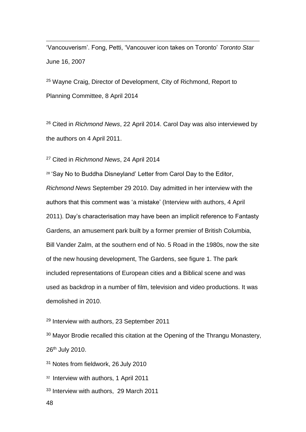'Vancouverism'. Fong, Petti, 'Vancouver icon takes on Toronto' *Toronto Star*  June 16, 2007

<sup>25</sup> Wayne Craig, Director of Development, City of Richmond, Report to Planning Committee, 8 April 2014

<sup>26</sup> Cited in *Richmond News*, 22 April 2014. Carol Day was also interviewed by the authors on 4 April 2011.

<sup>27</sup> Cited in *Richmond News*, 24 April 2014

<sup>28</sup> 'Say No to Buddha Disneyland' Letter from Carol Day to the Editor, *Richmond News* September 29 2010. Day admitted in her interview with the authors that this comment was 'a mistake' (Interview with authors, 4 April 2011). Day's characterisation may have been an implicit reference to Fantasty Gardens, an amusement park built by a former premier of British Columbia, Bill Vander Zalm, at the southern end of No. 5 Road in the 1980s, now the site of the new housing development, The Gardens, see figure 1. The park included representations of European cities and a Biblical scene and was used as backdrop in a number of film, television and video productions. It was demolished in 2010.

<sup>29</sup> Interview with authors, 23 September 2011

<sup>30</sup> Mayor Brodie recalled this citation at the Opening of the Thrangu Monastery, 26th July 2010.

<sup>31</sup> Notes from fieldwork, 26 July 2010

32 Interview with authors, 1 April 2011

<sup>33</sup> Interview with authors, 29 March 2011

48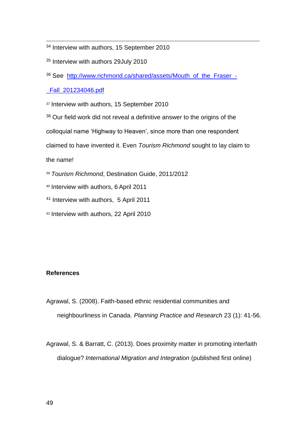<sup>34</sup> Interview with authors, 15 September 2010

<sup>35</sup> Interview with authors 29July 2010

<sup>36</sup> See [http://www.richmond.ca/shared/assets/Mouth\\_of\\_the\\_Fraser\\_-](http://www.richmond.ca/shared/assets/Mouth_of_the_Fraser_-_Fall_201234046.pdf)

[\\_Fall\\_201234046.pdf](http://www.richmond.ca/shared/assets/Mouth_of_the_Fraser_-_Fall_201234046.pdf)

37 Interview with authors, 15 September 2010

<sup>38</sup> Our field work did not reveal a definitive answer to the origins of the

colloquial name 'Highway to Heaven', since more than one respondent

claimed to have invented it. Even *Tourism Richmond* sought to lay claim to

the name!

<u>.</u>

<sup>39</sup> *Tourism Richmond*, Destination Guide, 2011/2012

<sup>40</sup> Interview with authors, 6 April 2011

<sup>41</sup> Interview with authors, 5 April 2011

<sup>42</sup> Interview with authors, 22 April 2010

# **References**

Agrawal, S. (2008). Faith-based ethnic residential communities and neighbourliness in Canada. *Planning Practice and Research* 23 (1): 41-56.

Agrawal, S. & Barratt, C. (2013). Does proximity matter in promoting interfaith dialogue? *International Migration and Integration* (published first online)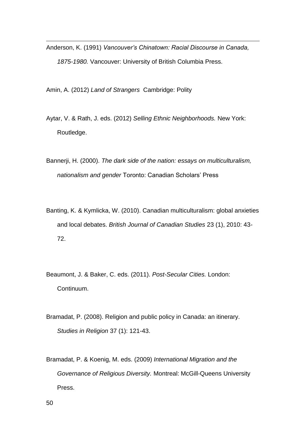Anderson, K. (1991) *Vancouver's Chinatown: Racial Discourse in Canada, 1875-1980.* Vancouver: University of British Columbia Press.

Amin, A. (2012) *Land of Strangers* Cambridge: Polity

Aytar, V. & Rath, J. eds. (2012) *Selling Ethnic Neighborhoods.* New York: Routledge.

Bannerji, H. (2000). *The dark side of the nation: essays on multiculturalism, nationalism and gender* Toronto: Canadian Scholars' Press

- Banting, K. & Kymlicka, W. (2010). Canadian multiculturalism: global anxieties and local debates. *British Journal of Canadian Studies* 23 (1), 2010: 43- 72.
- Beaumont, J. & Baker, C. eds. (2011). *Post-Secular Cities.* London: Continuum.
- Bramadat, P. (2008). Religion and public policy in Canada: an itinerary. *Studies in Religion* 37 (1): 121-43.
- Bramadat, P. & Koenig, M. eds. (2009) *International Migration and the Governance of Religious Diversity.* Montreal: McGill-Queens University Press.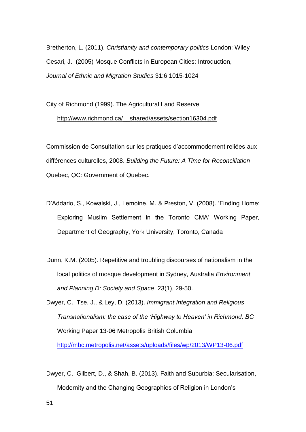Bretherton, L. (2011). *Christianity and contemporary politics* London: Wiley Cesari, J. (2005) Mosque Conflicts in European Cities: Introduction, *Journal of Ethnic and Migration Studies* 31:6 1015-1024

City of Richmond (1999). The Agricultural Land Reserve [http://www.richmond.ca/\\_\\_shared/assets/section16304.pdf](http://www.richmond.ca/__shared/assets/section16304.pdf)

Commission de Consultation sur les pratiques d'accommodement reliées aux différences culturelles, 2008. *Building the Future: A Time for Reconciliation* Quebec, QC: Government of Quebec.

- D'Addario, S., Kowalski, J., Lemoine, M. & Preston, V. (2008). 'Finding Home: Exploring Muslim Settlement in the Toronto CMA' Working Paper, Department of Geography, York University, Toronto, Canada
- Dunn, K.M. (2005). Repetitive and troubling discourses of nationalism in the local politics of mosque development in Sydney, Australia *Environment and Planning D: Society and Space* 23(1), 29-50.

Dwyer, C., Tse, J., & Ley, D. (2013). *Immigrant Integration and Religious Transnationalism: the case of the 'Highway to Heaven' in Richmond, BC* Working Paper 13-06 Metropolis British Columbia

<http://mbc.metropolis.net/assets/uploads/files/wp/2013/WP13-06.pdf>

Dwyer, C., Gilbert, D., & Shah, B. (2013). Faith and Suburbia: Secularisation, Modernity and the Changing Geographies of Religion in London's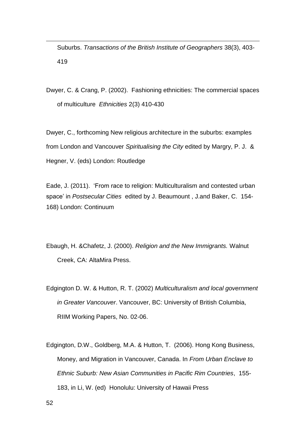Suburbs. *Transactions of the British Institute of Geographers* 38(3), 403- 419

Dwyer, C. & Crang, P. (2002). Fashioning ethnicities: The commercial spaces of multiculture *Ethnicities* 2(3) 410-430

Dwyer, C., forthcoming New religious architecture in the suburbs: examples from London and Vancouver *Spiritualising the City* edited by Margry, P. J. & Hegner, V. (eds) London: Routledge

Eade, J. (2011). 'From race to religion: Multiculturalism and contested urban space' in *Postsecular Cities* edited by J. Beaumount , J.and Baker, C. 154- 168) London: Continuum

Ebaugh, H. &Chafetz, J. (2000). *Religion and the New Immigrants.* Walnut Creek, CA: AltaMira Press.

Edgington D. W. & Hutton, R. T. (2002) *Multiculturalism and local government in Greater Vancouver*. Vancouver, BC: University of British Columbia, RIIM Working Papers, No. 02-06.

Edgington, D.W., Goldberg, M.A. & Hutton, T. (2006). Hong Kong Business, Money, and Migration in Vancouver, Canada. In *From Urban Enclave to Ethnic Suburb: New Asian Communities in Pacific Rim Countries*, 155- 183, in Li, W. (ed) Honolulu: University of Hawaii Press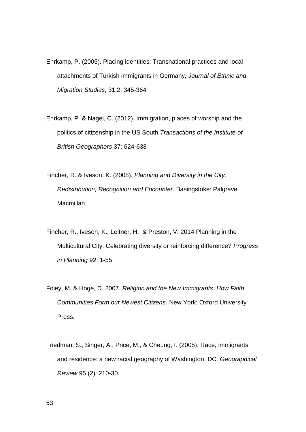Ehrkamp, P. (2005). Placing identities: Transnational practices and local attachments of Turkish immigrants in Germany, *Journal of Ethnic and Migration Studies*, 31:2, 345-364

Ehrkamp, P. & Nagel, C. (2012). Immigration, places of worship and the politics of citizenship in the US South *Transactions of the Institute of British Geographers* 37: 624-638

Fincher, R. & Iveson, K. (2008). *Planning and Diversity in the City: Redistribution, Recognition and Encounter*. Basingstoke: Palgrave Macmillan.

Fincher, R., Iveson, K., Leitner, H. & Preston, V. 2014 Planning in the Multicultural City: Celebrating diversity or reinforcing difference? *Progress in Planning* 92: 1-55

Foley, M. & Hoge, D. 2007. *Religion and the New Immigrants: How Faith Communities Form our Newest Citizens.* New York: Oxford University Press.

Friedman, S., Singer, A., Price, M., & Cheung, I. (2005). Race, immigrants and residence: a new racial geography of Washington, DC. *Geographical Review* 95 (2): 210-30.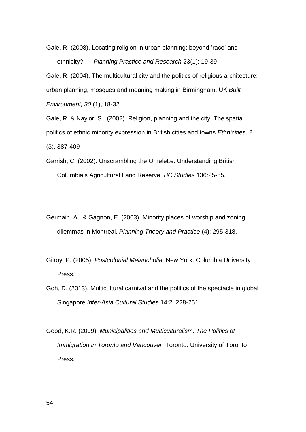<u>.</u> Gale, R. (2008). Locating religion in urban planning: beyond 'race' and ethnicity? *Planning Practice and Research* 23(1): 19-39

Gale, R. (2004). The multicultural city and the politics of religious architecture: urban planning, mosques and meaning making in Birmingham, UK'*Built Environment, 30* (1), 18-32

Gale, R. & Naylor, S. (2002). Religion, planning and the city: The spatial politics of ethnic minority expression in British cities and towns *Ethnicities,* 2 (3), 387-409

Garrish, C. (2002). Unscrambling the Omelette: Understanding British Columbia's Agricultural Land Reserve. *BC Studies* 136:25-55.

- Germain, A., & Gagnon, E. (2003). Minority places of worship and zoning dilemmas in Montreal. *Planning Theory and Practice* (4): 295-318.
- Gilroy, P. (2005). *Postcolonial Melancholia.* New York: Columbia University Press.
- Goh, D. (2013). Multicultural carnival and the politics of the spectacle in global Singapore *Inter-Asia Cultural Studies* 14:2, 228-251
- Good, K.R. (2009). *Municipalities and Multiculturalism: The Politics of Immigration in Toronto and Vancouver*. Toronto: University of Toronto Press.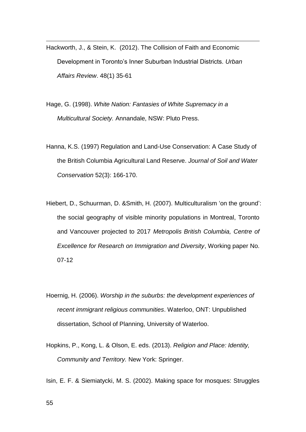Hackworth, J., & Stein, K. (2012). The Collision of Faith and Economic Development in Toronto's Inner Suburban Industrial Districts. *Urban Affairs Review*. 48(1) 35-61

Hage, G. (1998). *White Nation: Fantasies of White Supremacy in a Multicultural Society.* Annandale, NSW: Pluto Press.

Hanna, K.S. (1997) Regulation and Land-Use Conservation: A Case Study of the British Columbia Agricultural Land Reserve. *Journal of Soil and Water Conservation* 52(3): 166-170.

Hiebert, D., Schuurman, D. &Smith, H. (2007). Multiculturalism 'on the ground': the social geography of visible minority populations in Montreal, Toronto and Vancouver projected to 2017 *Metropolis British Columbia, Centre of Excellence for Research on Immigration and Diversity*, Working paper No. 07-12

Hoernig, H. (2006). *Worship in the suburbs: the development experiences of recent immigrant religious communities*. Waterloo, ONT: Unpublished dissertation, School of Planning, University of Waterloo.

Hopkins, P., Kong, L. & Olson, E. eds. (2013). *Religion and Place: Identity, Community and Territory.* New York: Springer.

Isin, E. F. & Siemiatycki, M. S. (2002). Making space for mosques: Struggles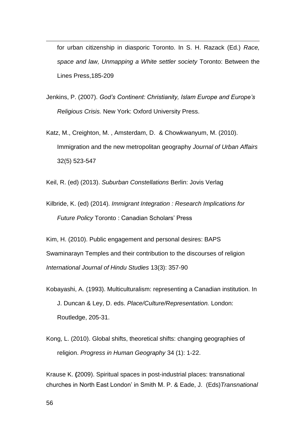for urban citizenship in diasporic Toronto. In S. H. Razack (Ed.) *Race, space and law, Unmapping a White settler society* Toronto: Between the Lines Press,185-209

- Jenkins, P. (2007). *God's Continent: Christianity, Islam Europe and Europe's Religious Crisis.* New York: Oxford University Press.
- Katz, M., Creighton, M. , Amsterdam, D. & Chowkwanyum, M. (2010). Immigration and the new metropolitan geography *Journal of Urban Affairs* 32(5) 523-547

Keil, R. (ed) (2013). *Suburban Constellations* Berlin: Jovis Verlag

Kilbride, K. (ed) (2014). *Immigrant Integration : Research Implications for Future Policy* Toronto : Canadian Scholars' Press

Kim, H. (2010). Public engagement and personal desires: BAPS Swaminarayn Temples and their contribution to the discourses of religion *International Journal of Hindu Studies* 13(3): 357-90

- Kobayashi, A. (1993). Multiculturalism: representing a Canadian institution. In J. Duncan & Ley, D. eds. *Place/Culture/Representation.* London: Routledge, 205-31.
- Kong, L. (2010). Global shifts, theoretical shifts: changing geographies of religion. *Progress in Human Geography* 34 (1): 1-22.

Krause K. **(**2009). Spiritual spaces in post-industrial places: transnational churches in North East London' in Smith M. P. & Eade, J. (Eds)*Transnational*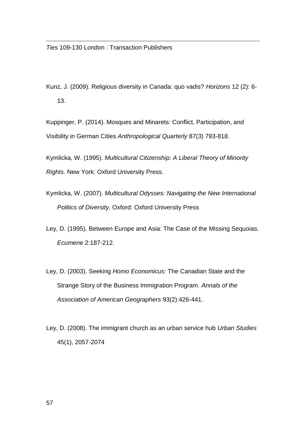<u>.</u>

Kunz, J. (2009). Religious diversity in Canada: quo vadis? *Horizons* 12 (2): 6- 13.

Kuppinger, P. (2014). Mosques and Minarets: Conflict, Participation, and Visibility in German Cities *Anthropological Quarterly* 87(3) 793-818.

Kymlicka, W. (1995). *Multicultural Citizenship: A Liberal Theory of Minority Rights.* New York: Oxford University Press.

- Kymlicka, W. (2007). *Multicultural Odysses: Navigating the New International Politics of Diversity.* Oxford: Oxford University Press
- Ley, D. (1995). Between Europe and Asia: The Case of the Missing Sequoias. *Ecumene* 2:187-212.
- Ley, D. (2003). Seeking *Homo Economicus*: The Canadian State and the Strange Story of the Business Immigration Program. *Annals of the Association of American Geographers* 93(2):426-441.
- Ley, D. (2008). The immigrant church as an urban service hub *Urban Studies* 45(1), 2057-2074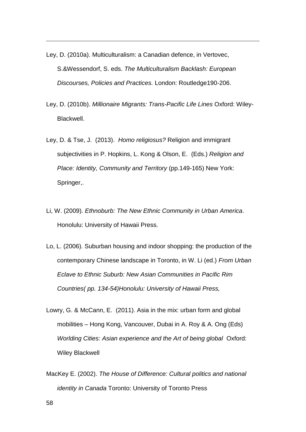Ley, D. (2010a). Multiculturalism: a Canadian defence, in Vertovec, S.&Wessendorf, S. eds. *The Multiculturalism Backlash: European Discourses, Policies and Practices.* London: Routledge190-206.

- Ley, D. (2010b). *Millionaire Migrants: Trans-Pacific Life Lines* Oxford: Wiley-Blackwell.
- Ley, D. & Tse, J. (2013). *Homo religiosus?* Religion and immigrant subjectivities in P. Hopkins, L. Kong & Olson, E. (Eds.) *Religion and Place: Identity, Community and Territory* (pp.149-165) New York: Springer,.
- Li, W. (2009). *Ethnoburb: The New Ethnic Community in Urban America*. Honolulu: University of Hawaii Press.
- Lo, L. (2006). Suburban housing and indoor shopping: the production of the contemporary Chinese landscape in Toronto, in W. Li (ed.) *From Urban Eclave to Ethnic Suburb: New Asian Communities in Pacific Rim Countries( pp. 134-54)Honolulu: University of Hawaii Press,*
- Lowry, G. & McCann, E. (2011). Asia in the mix: urban form and global mobilities – Hong Kong, Vancouver, Dubai in A. Roy & A. Ong (Eds) *Worlding Cities: Asian experience and the Art of being global* Oxford: Wiley Blackwell
- MacKey E. (2002). *The House of Difference: Cultural politics and national identity in Canada* Toronto: University of Toronto Press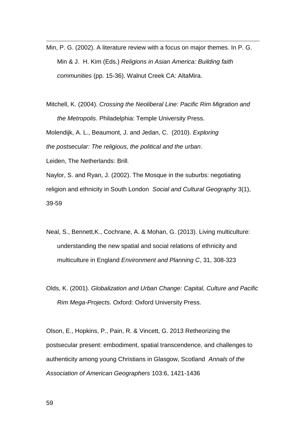Min, P. G. (2002). A literature review with a focus on major themes. In P. G. Min & J. H. Kim (Eds.) *Religions in Asian America: Building faith communities* (pp. 15-36). Walnut Creek CA: AltaMira.

Mitchell, K. (2004). *Crossing the Neoliberal Line: Pacific Rim Migration and the Metropolis*. Philadelphia: Temple University Press.

Molendijk, A. L., Beaumont, J. and Jedan, C. (2010). *Exploring the postsecular: The religious, the political and the urban*.

Leiden, The Netherlands: Brill.

<u>.</u>

Naylor, S. and Ryan, J. (2002). The Mosque in the suburbs: negotiating religion and ethnicity in South London *Social and Cultural Geography* 3(1), 39-59

- Neal, S., Bennett,K., Cochrane, A. & Mohan, G. (2013). Living multiculture: understanding the new spatial and social relations of ethnicity and multiculture in England *Environment and Planning C*, 31, 308-323
- Olds, K. (2001). *Globalization and Urban Change: Capital, Culture and Pacific Rim Mega-Projects.* Oxford: Oxford University Press.

Olson, E., Hopkins, P., Pain, R. & Vincett, G. 2013 Retheorizing the postsecular present: embodiment, spatial transcendence, and challenges to authenticity among young Christians in Glasgow, Scotland *Annals of the Association of American Geographers* 103:6, 1421-1436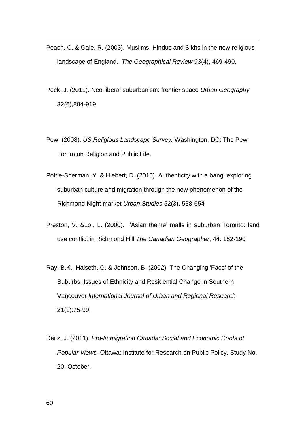- Peach, C. & Gale, R. (2003). Muslims, Hindus and Sikhs in the new religious landscape of England. *The Geographical Review 93*(4), 469-490.
- Peck, J. (2011). Neo-liberal suburbanism: frontier space *Urban Geography* 32(6),884-919
- Pew (2008). *US Religious Landscape Survey.* Washington, DC: The Pew Forum on Religion and Public Life.
- Pottie-Sherman, Y. & Hiebert, D. (2015). Authenticity with a bang: exploring suburban culture and migration through the new phenomenon of the Richmond Night market *Urban Studies* 52(3), 538-554
- Preston, V. &Lo., L. (2000). 'Asian theme' malls in suburban Toronto: land use conflict in Richmond Hill *The Canadian Geographer*, 44: 182-190
- Ray, B.K., Halseth, G. & Johnson, B. (2002). The Changing 'Face' of the Suburbs: Issues of Ethnicity and Residential Change in Southern Vancouver *International Journal of Urban and Regional Research*  21(1):75-99.
- Reitz, J. (2011). *Pro-Immigration Canada: Social and Economic Roots of Popular Views.* Ottawa: Institute for Research on Public Policy, Study No. 20, October.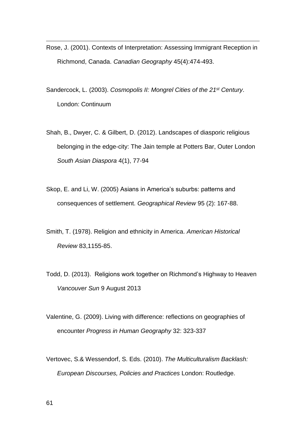- Rose, J. (2001). Contexts of Interpretation: Assessing Immigrant Reception in Richmond, Canada. *Canadian Geography* 45(4):474-493.
- Sandercock, L. (2003). *Cosmopolis II: Mongrel Cities of the 21st Century*. London: Continuum
- Shah, B., Dwyer, C. & Gilbert, D. (2012). Landscapes of diasporic religious belonging in the edge-city: The Jain temple at Potters Bar, Outer London *South Asian Diaspora* 4(1), 77-94
- Skop, E. and Li, W. (2005) Asians in America's suburbs: patterns and consequences of settlement. *Geographical Review* 95 (2): 167-88.
- Smith, T. (1978). Religion and ethnicity in America. *American Historical Review* 83,1155-85.
- Todd, D. (2013). Religions work together on Richmond's Highway to Heaven *Vancouver Sun* 9 August 2013
- Valentine, G. (2009). Living with difference: reflections on geographies of encounter *Progress in Human Geography* 32: 323-337
- Vertovec, S.& Wessendorf, S. Eds. (2010). *The Multiculturalism Backlash: European Discourses, Policies and Practices* London: Routledge.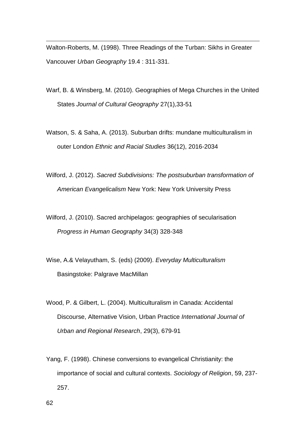Walton-Roberts, M. (1998). Three Readings of the Turban: Sikhs in Greater Vancouver *Urban Geography* 19.4 : 311-331.

- Warf, B. & Winsberg, M. (2010). Geographies of Mega Churches in the United States *Journal of Cultural Geography* 27(1),33-51
- Watson, S. & Saha, A. (2013). Suburban drifts: mundane multiculturalism in outer London *Ethnic and Racial Studies* 36(12), 2016-2034
- Wilford, J. (2012). *Sacred Subdivisions: The postsuburban transformation of American Evangelicalism* New York: New York University Press
- Wilford, J. (2010). Sacred archipelagos: geographies of secularisation *Progress in Human Geography* 34(3) 328-348
- Wise, A.& Velayutham, S. (eds) (2009). *Everyday Multiculturalism* Basingstoke: Palgrave MacMillan
- Wood, P. & Gilbert, L. (2004). Multiculturalism in Canada: Accidental Discourse, Alternative Vision, Urban Practice *International Journal of Urban and Regional Research*, 29(3), 679-91
- Yang, F. (1998). Chinese conversions to evangelical Christianity: the importance of social and cultural contexts. *Sociology of Religion*, 59, 237- 257.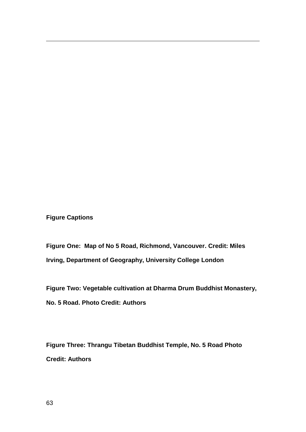**Figure Captions**

<u>.</u>

**Figure One: Map of No 5 Road, Richmond, Vancouver. Credit: Miles Irving, Department of Geography, University College London**

**Figure Two: Vegetable cultivation at Dharma Drum Buddhist Monastery, No. 5 Road. Photo Credit: Authors**

**Figure Three: Thrangu Tibetan Buddhist Temple, No. 5 Road Photo Credit: Authors**